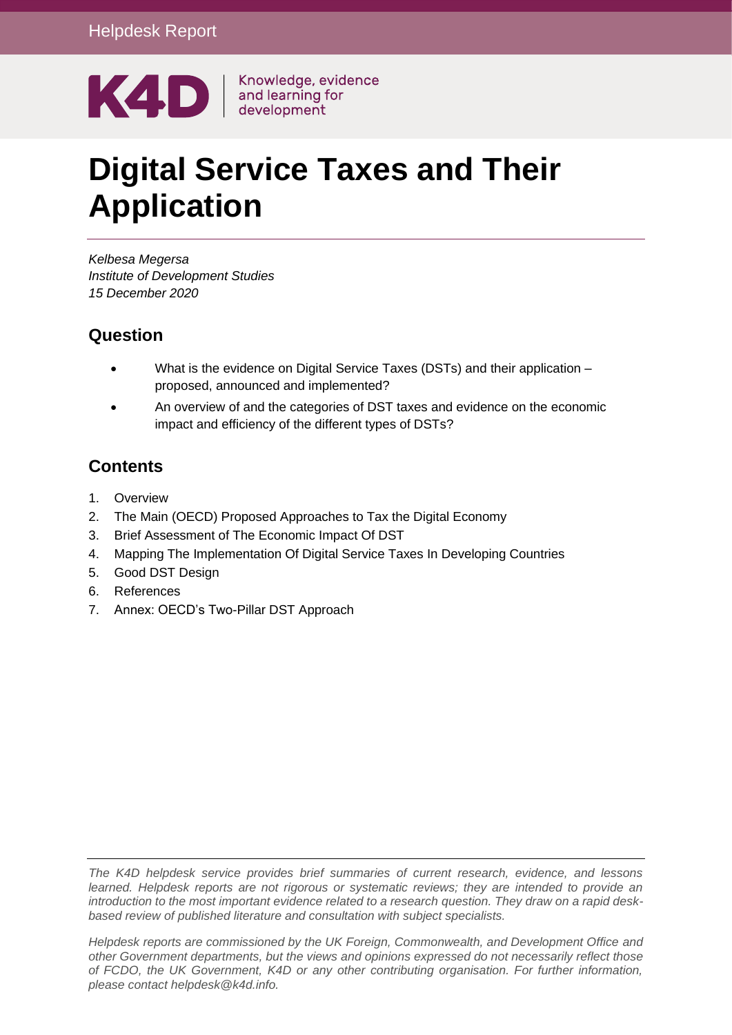

# **Digital Service Taxes and Their Application**

*Kelbesa Megersa Institute of Development Studies 15 December 2020*

### **Question**

- What is the evidence on Digital Service Taxes (DSTs) and their application proposed, announced and implemented?
- An overview of and the categories of DST taxes and evidence on the economic impact and efficiency of the different types of DSTs?

### **Contents**

- 1. [Overview](#page-1-0)
- 2. [The Main \(OECD\) Proposed Approaches to Tax the Digital Economy](#page-3-0)
- 3. [Brief Assessment of The Economic Impact Of DST](#page-5-0)
- 4. [Mapping The Implementation Of Digital Service Taxes In Developing Countries](#page-7-0)
- 5. [Good DST Design](#page-19-0)
- 6. [References](#page-20-0)
- 7. [Annex: OECD's Two-Pillar DST Approach](#page-23-0)

*The K4D helpdesk service provides brief summaries of current research, evidence, and lessons learned. Helpdesk reports are not rigorous or systematic reviews; they are intended to provide an introduction to the most important evidence related to a research question. They draw on a rapid deskbased review of published literature and consultation with subject specialists.* 

*Helpdesk reports are commissioned by the UK Foreign, Commonwealth, and Development Office and other Government departments, but the views and opinions expressed do not necessarily reflect those of FCDO, the UK Government, K4D or any other contributing organisation. For further information, please contact helpdesk@k4d.info.*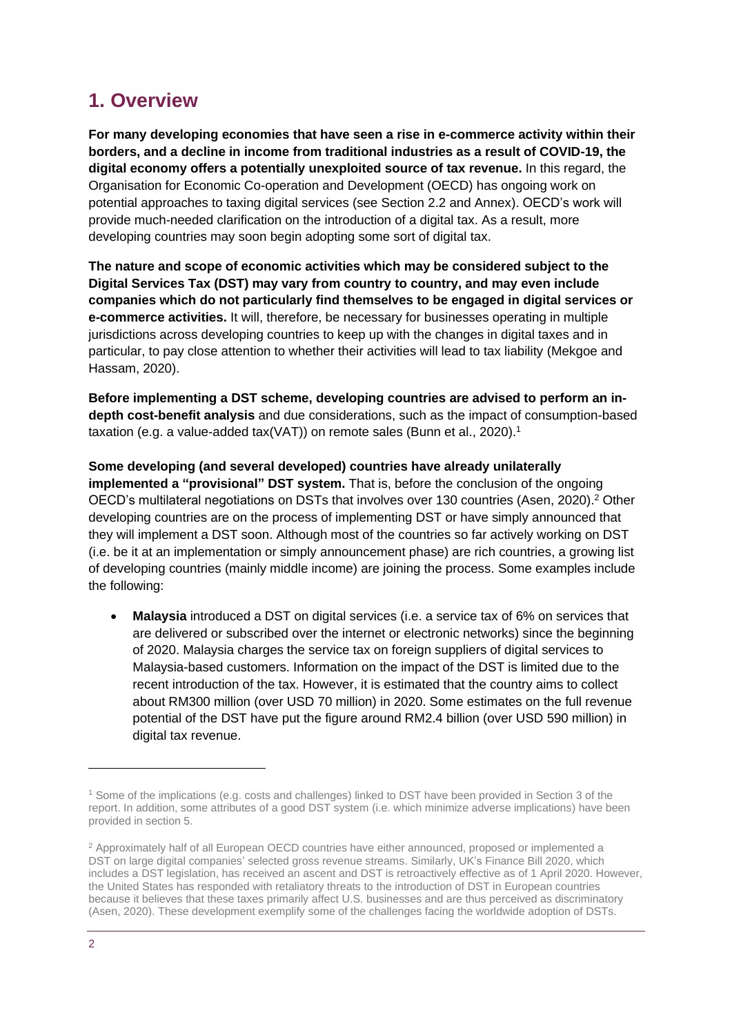# <span id="page-1-0"></span>**1. Overview**

**For many developing economies that have seen a rise in e-commerce activity within their borders, and a decline in income from traditional industries as a result of COVID-19, the digital economy offers a potentially unexploited source of tax revenue.** In this regard, the Organisation for Economic Co-operation and Development (OECD) has ongoing work on potential approaches to taxing digital services (see Section 2.2 and Annex). OECD's work will provide much-needed clarification on the introduction of a digital tax. As a result, more developing countries may soon begin adopting some sort of digital tax.

**The nature and scope of economic activities which may be considered subject to the Digital Services Tax (DST) may vary from country to country, and may even include companies which do not particularly find themselves to be engaged in digital services or e-commerce activities.** It will, therefore, be necessary for businesses operating in multiple jurisdictions across developing countries to keep up with the changes in digital taxes and in particular, to pay close attention to whether their activities will lead to tax liability (Mekgoe and Hassam, 2020).

**Before implementing a DST scheme, developing countries are advised to perform an indepth cost-benefit analysis** and due considerations, such as the impact of consumption-based taxation (e.g. a value-added tax(VAT)) on remote sales (Bunn et al., 2020).<sup>1</sup>

**Some developing (and several developed) countries have already unilaterally implemented a "provisional" DST system.** That is, before the conclusion of the ongoing OECD's multilateral negotiations on DSTs that involves over 130 countries (Asen, 2020).<sup>2</sup> Other developing countries are on the process of implementing DST or have simply announced that they will implement a DST soon. Although most of the countries so far actively working on DST (i.e. be it at an implementation or simply announcement phase) are rich countries, a growing list of developing countries (mainly middle income) are joining the process. Some examples include the following:

• **Malaysia** introduced a DST on digital services (i.e. a service tax of 6% on services that are delivered or subscribed over the internet or electronic networks) since the beginning of 2020. Malaysia charges the service tax on foreign suppliers of digital services to Malaysia-based customers. Information on the impact of the DST is limited due to the recent introduction of the tax. However, it is estimated that the country aims to collect about RM300 million (over USD 70 million) in 2020. Some estimates on the full revenue potential of the DST have put the figure around RM2.4 billion (over USD 590 million) in digital tax revenue.

<sup>1</sup> Some of the implications (e.g. costs and challenges) linked to DST have been provided in Section 3 of the report. In addition, some attributes of a good DST system (i.e. which minimize adverse implications) have been provided in section 5.

<sup>2</sup> Approximately half of all European OECD countries have either announced, proposed or implemented a DST on large digital companies' selected gross revenue streams. Similarly, UK's Finance Bill 2020, which includes a DST legislation, has received an ascent and DST is retroactively effective as of 1 April 2020. However, the United States has responded with retaliatory threats to the introduction of DST in European countries because it believes that these taxes primarily affect U.S. businesses and are thus perceived as discriminatory (Asen, 2020). These development exemplify some of the challenges facing the worldwide adoption of DSTs.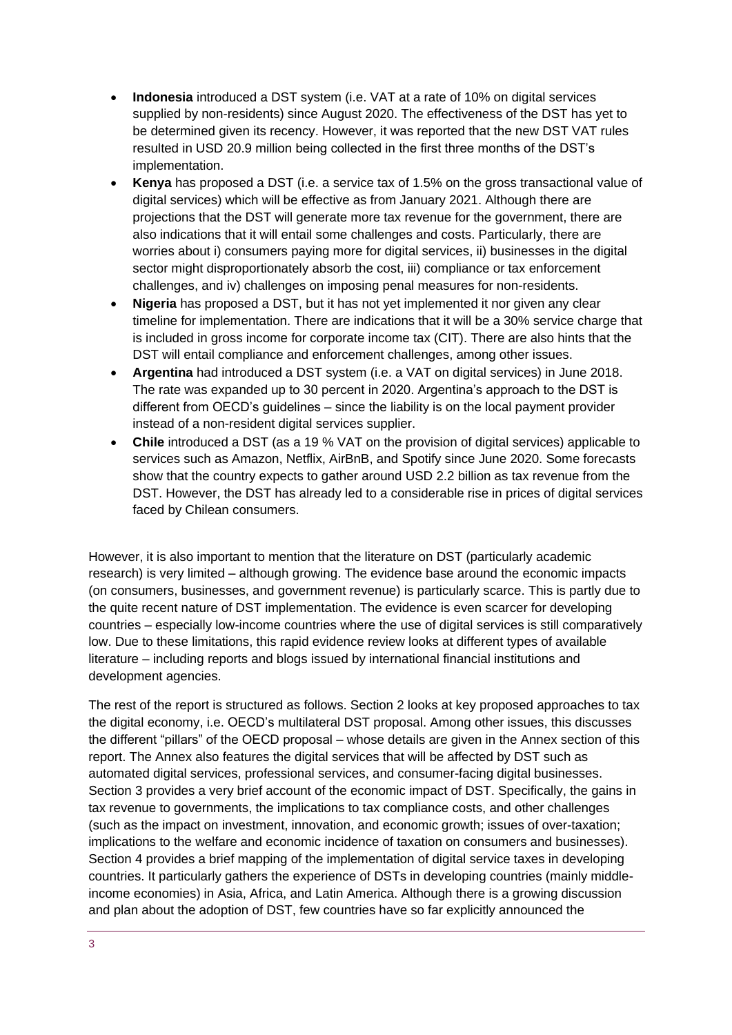- **Indonesia** introduced a DST system (i.e. VAT at a rate of 10% on digital services supplied by non-residents) since August 2020. The effectiveness of the DST has yet to be determined given its recency. However, it was reported that the new DST VAT rules resulted in USD 20.9 million being collected in the first three months of the DST's implementation.
- **Kenya** has proposed a DST (i.e. a service tax of 1.5% on the gross transactional value of digital services) which will be effective as from January 2021. Although there are projections that the DST will generate more tax revenue for the government, there are also indications that it will entail some challenges and costs. Particularly, there are worries about i) consumers paying more for digital services, ii) businesses in the digital sector might disproportionately absorb the cost, iii) compliance or tax enforcement challenges, and iv) challenges on imposing penal measures for non-residents.
- **Nigeria** has proposed a DST, but it has not yet implemented it nor given any clear timeline for implementation. There are indications that it will be a 30% service charge that is included in gross income for corporate income tax (CIT). There are also hints that the DST will entail compliance and enforcement challenges, among other issues.
- **Argentina** had introduced a DST system (i.e. a VAT on digital services) in June 2018. The rate was expanded up to 30 percent in 2020. Argentina's approach to the DST is different from OECD's guidelines – since the liability is on the local payment provider instead of a non-resident digital services supplier.
- **Chile** introduced a DST (as a 19 % VAT on the provision of digital services) applicable to services such as Amazon, Netflix, AirBnB, and Spotify since June 2020. Some forecasts show that the country expects to gather around USD 2.2 billion as tax revenue from the DST. However, the DST has already led to a considerable rise in prices of digital services faced by Chilean consumers.

However, it is also important to mention that the literature on DST (particularly academic research) is very limited – although growing. The evidence base around the economic impacts (on consumers, businesses, and government revenue) is particularly scarce. This is partly due to the quite recent nature of DST implementation. The evidence is even scarcer for developing countries – especially low-income countries where the use of digital services is still comparatively low. Due to these limitations, this rapid evidence review looks at different types of available literature – including reports and blogs issued by international financial institutions and development agencies.

The rest of the report is structured as follows. Section 2 looks at key proposed approaches to tax the digital economy, i.e. OECD's multilateral DST proposal. Among other issues, this discusses the different "pillars" of the OECD proposal – whose details are given in the Annex section of this report. The Annex also features the digital services that will be affected by DST such as automated digital services, professional services, and consumer-facing digital businesses. Section 3 provides a very brief account of the economic impact of DST. Specifically, the gains in tax revenue to governments, the implications to tax compliance costs, and other challenges (such as the impact on investment, innovation, and economic growth; issues of over-taxation; implications to the welfare and economic incidence of taxation on consumers and businesses). Section 4 provides a brief mapping of the implementation of digital service taxes in developing countries. It particularly gathers the experience of DSTs in developing countries (mainly middleincome economies) in Asia, Africa, and Latin America. Although there is a growing discussion and plan about the adoption of DST, few countries have so far explicitly announced the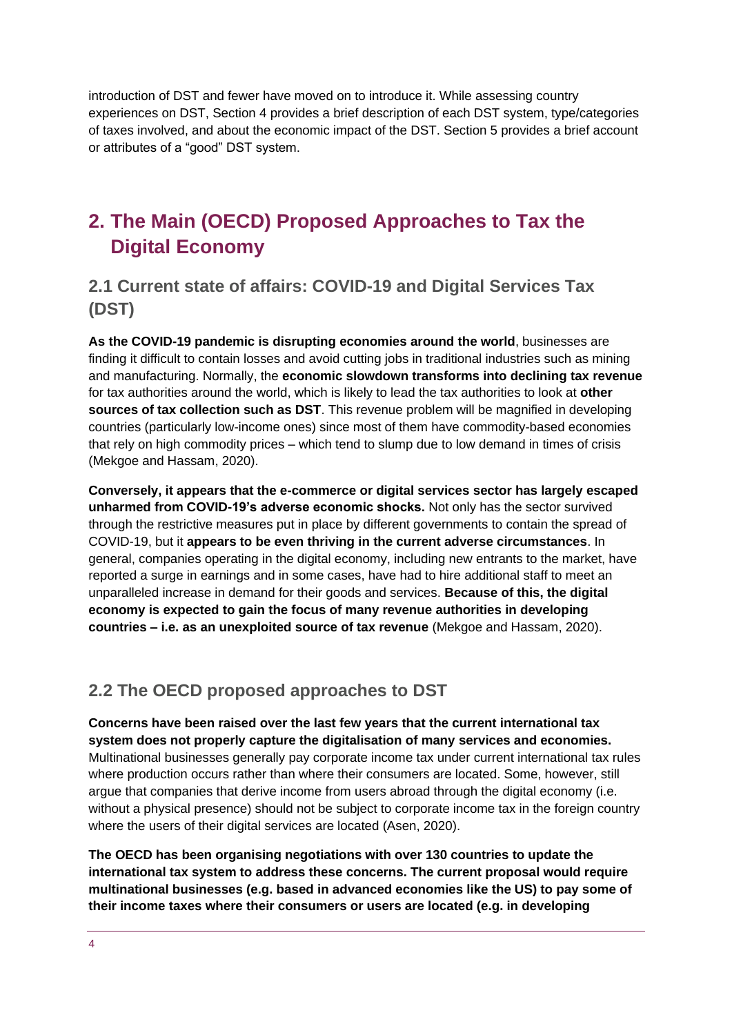introduction of DST and fewer have moved on to introduce it. While assessing country experiences on DST, Section 4 provides a brief description of each DST system, type/categories of taxes involved, and about the economic impact of the DST. Section 5 provides a brief account or attributes of a "good" DST system.

# <span id="page-3-0"></span>**2. The Main (OECD) Proposed Approaches to Tax the Digital Economy**

### **2.1 Current state of affairs: COVID-19 and Digital Services Tax (DST)**

**As the COVID-19 pandemic is disrupting economies around the world**, businesses are finding it difficult to contain losses and avoid cutting jobs in traditional industries such as mining and manufacturing. Normally, the **economic slowdown transforms into declining tax revenue** for tax authorities around the world, which is likely to lead the tax authorities to look at **other sources of tax collection such as DST**. This revenue problem will be magnified in developing countries (particularly low-income ones) since most of them have commodity-based economies that rely on high commodity prices – which tend to slump due to low demand in times of crisis (Mekgoe and Hassam, 2020).

**Conversely, it appears that the e-commerce or digital services sector has largely escaped unharmed from COVID-19's adverse economic shocks.** Not only has the sector survived through the restrictive measures put in place by different governments to contain the spread of COVID-19, but it **appears to be even thriving in the current adverse circumstances**. In general, companies operating in the digital economy, including new entrants to the market, have reported a surge in earnings and in some cases, have had to hire additional staff to meet an unparalleled increase in demand for their goods and services. **Because of this, the digital economy is expected to gain the focus of many revenue authorities in developing countries – i.e. as an unexploited source of tax revenue** (Mekgoe and Hassam, 2020).

### **2.2 The OECD proposed approaches to DST**

**Concerns have been raised over the last few years that the current international tax system does not properly capture the digitalisation of many services and economies.** Multinational businesses generally pay corporate income tax under current international tax rules where production occurs rather than where their consumers are located. Some, however, still argue that companies that derive income from users abroad through the digital economy (i.e. without a physical presence) should not be subject to corporate income tax in the foreign country where the users of their digital services are located (Asen, 2020).

**The OECD has been organising negotiations with over 130 countries to update the international tax system to address these concerns. The current proposal would require multinational businesses (e.g. based in advanced economies like the US) to pay some of their income taxes where their consumers or users are located (e.g. in developing**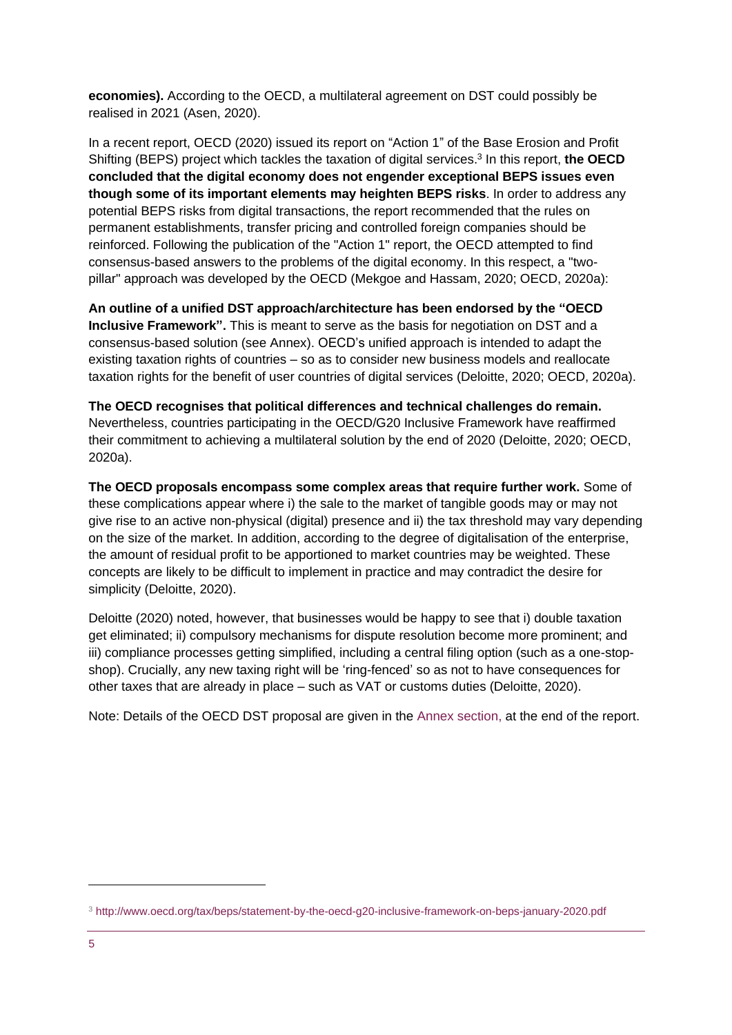**economies).** According to the OECD, a multilateral agreement on DST could possibly be realised in 2021 (Asen, 2020).

In a recent report, OECD (2020) issued its report on "Action 1" of the Base Erosion and Profit Shifting (BEPS) project which tackles the taxation of digital services. 3 In this report, **the OECD concluded that the digital economy does not engender exceptional BEPS issues even though some of its important elements may heighten BEPS risks**. In order to address any potential BEPS risks from digital transactions, the report recommended that the rules on permanent establishments, transfer pricing and controlled foreign companies should be reinforced. Following the publication of the "Action 1" report, the OECD attempted to find consensus-based answers to the problems of the digital economy. In this respect, a "twopillar" approach was developed by the OECD (Mekgoe and Hassam, 2020; OECD, 2020a):

**An outline of a unified DST approach/architecture has been endorsed by the "OECD Inclusive Framework".** This is meant to serve as the basis for negotiation on DST and a consensus-based solution (see Annex). OECD's unified approach is intended to adapt the existing taxation rights of countries – so as to consider new business models and reallocate taxation rights for the benefit of user countries of digital services (Deloitte, 2020; OECD, 2020a).

**The OECD recognises that political differences and technical challenges do remain.**  Nevertheless, countries participating in the OECD/G20 Inclusive Framework have reaffirmed their commitment to achieving a multilateral solution by the end of 2020 (Deloitte, 2020; OECD, 2020a).

**The OECD proposals encompass some complex areas that require further work.** Some of these complications appear where i) the sale to the market of tangible goods may or may not give rise to an active non-physical (digital) presence and ii) the tax threshold may vary depending on the size of the market. In addition, according to the degree of digitalisation of the enterprise, the amount of residual profit to be apportioned to market countries may be weighted. These concepts are likely to be difficult to implement in practice and may contradict the desire for simplicity (Deloitte, 2020).

Deloitte (2020) noted, however, that businesses would be happy to see that i) double taxation get eliminated; ii) compulsory mechanisms for dispute resolution become more prominent; and iii) compliance processes getting simplified, including a central filing option (such as a one-stopshop). Crucially, any new taxing right will be 'ring-fenced' so as not to have consequences for other taxes that are already in place – such as VAT or customs duties (Deloitte, 2020).

Note: Details of the OECD DST proposal are given in the [Annex section, a](#page-23-0)t the end of the report.

<sup>3</sup> <http://www.oecd.org/tax/beps/statement-by-the-oecd-g20-inclusive-framework-on-beps-january-2020.pdf>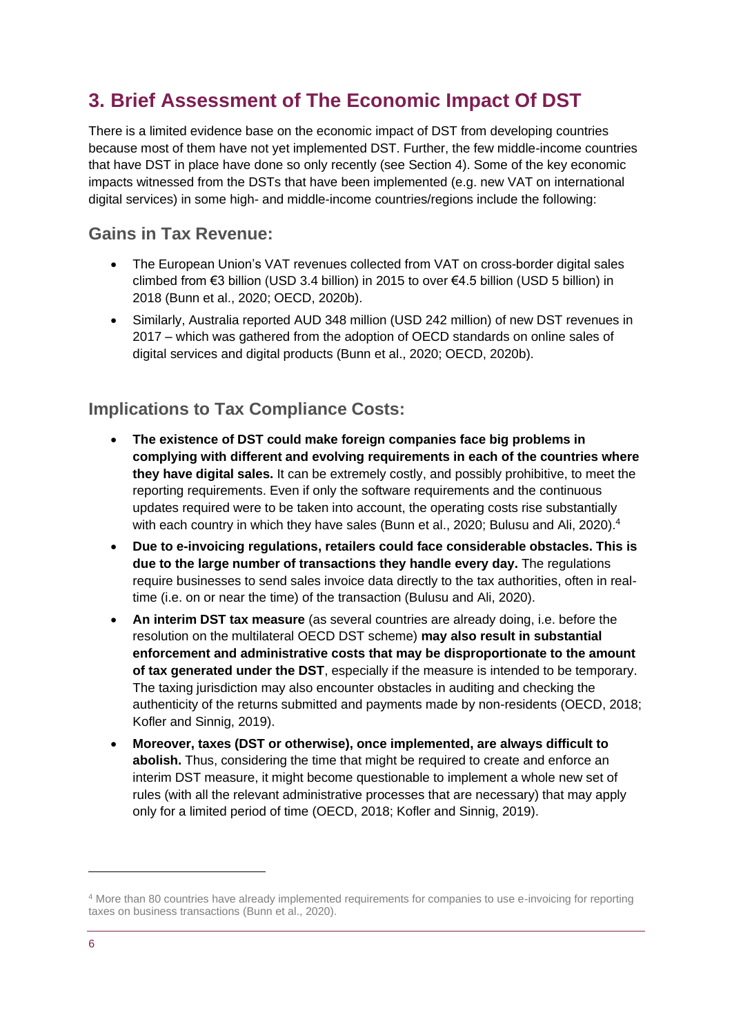# <span id="page-5-0"></span>**3. Brief Assessment of The Economic Impact Of DST**

There is a limited evidence base on the economic impact of DST from developing countries because most of them have not yet implemented DST. Further, the few middle-income countries that have DST in place have done so only recently (see Section 4). Some of the key economic impacts witnessed from the DSTs that have been implemented (e.g. new VAT on international digital services) in some high- and middle-income countries/regions include the following:

### **Gains in Tax Revenue:**

- The European Union's VAT revenues collected from VAT on cross-border digital sales climbed from €3 billion (USD 3.4 billion) in 2015 to over €4.5 billion (USD 5 billion) in 2018 (Bunn et al., 2020; OECD, 2020b).
- Similarly, Australia reported AUD 348 million (USD 242 million) of new DST revenues in 2017 – which was gathered from the adoption of OECD standards on online sales of digital services and digital products (Bunn et al., 2020; OECD, 2020b).

### **Implications to Tax Compliance Costs:**

- **The existence of DST could make foreign companies face big problems in complying with different and evolving requirements in each of the countries where they have digital sales.** It can be extremely costly, and possibly prohibitive, to meet the reporting requirements. Even if only the software requirements and the continuous updates required were to be taken into account, the operating costs rise substantially with each country in which they have sales (Bunn et al., 2020; Bulusu and Ali, 2020).<sup>4</sup>
- **Due to e-invoicing regulations, retailers could face considerable obstacles. This is due to the large number of transactions they handle every day.** The regulations require businesses to send sales invoice data directly to the tax authorities, often in realtime (i.e. on or near the time) of the transaction (Bulusu and Ali, 2020).
- **An interim DST tax measure** (as several countries are already doing, i.e. before the resolution on the multilateral OECD DST scheme) **may also result in substantial enforcement and administrative costs that may be disproportionate to the amount of tax generated under the DST**, especially if the measure is intended to be temporary. The taxing jurisdiction may also encounter obstacles in auditing and checking the authenticity of the returns submitted and payments made by non-residents (OECD, 2018; Kofler and Sinnig, 2019).
- **Moreover, taxes (DST or otherwise), once implemented, are always difficult to abolish.** Thus, considering the time that might be required to create and enforce an interim DST measure, it might become questionable to implement a whole new set of rules (with all the relevant administrative processes that are necessary) that may apply only for a limited period of time (OECD, 2018; Kofler and Sinnig, 2019).

<sup>4</sup> More than 80 countries have already implemented requirements for companies to use e-invoicing for reporting taxes on business transactions (Bunn et al., 2020).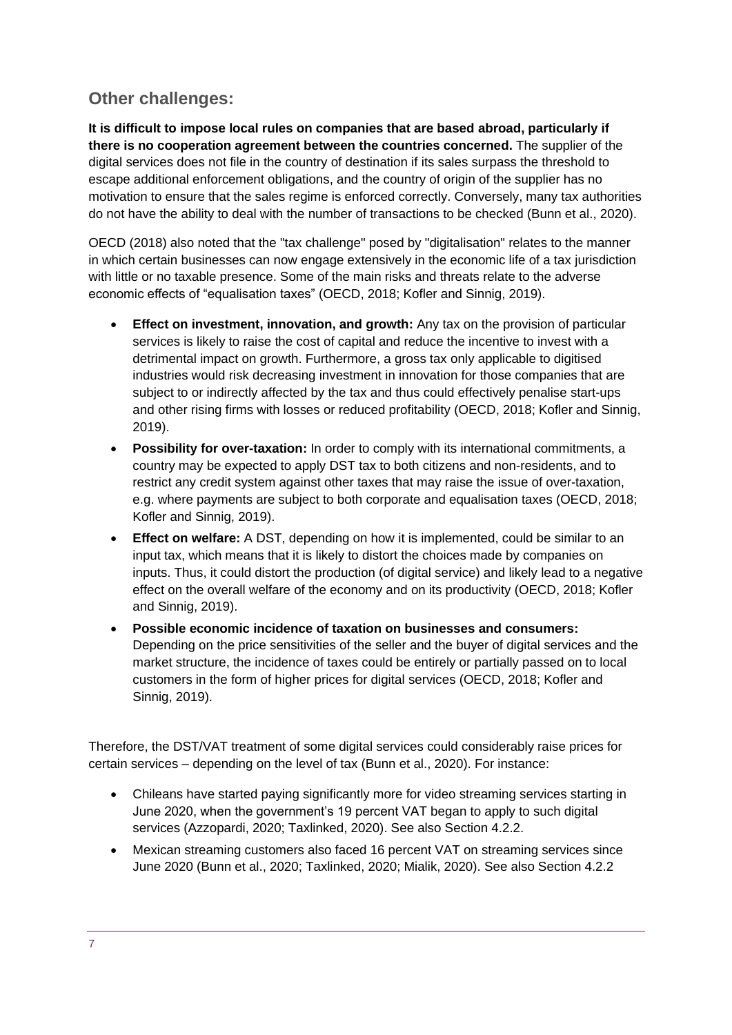### **Other challenges:**

**It is difficult to impose local rules on companies that are based abroad, particularly if there is no cooperation agreement between the countries concerned.** The supplier of the digital services does not file in the country of destination if its sales surpass the threshold to escape additional enforcement obligations, and the country of origin of the supplier has no motivation to ensure that the sales regime is enforced correctly. Conversely, many tax authorities do not have the ability to deal with the number of transactions to be checked (Bunn et al., 2020).

OECD (2018) also noted that the "tax challenge" posed by "digitalisation" relates to the manner in which certain businesses can now engage extensively in the economic life of a tax jurisdiction with little or no taxable presence. Some of the main risks and threats relate to the adverse economic effects of "equalisation taxes" (OECD, 2018; Kofler and Sinnig, 2019).

- **Effect on investment, innovation, and growth:** Any tax on the provision of particular services is likely to raise the cost of capital and reduce the incentive to invest with a detrimental impact on growth. Furthermore, a gross tax only applicable to digitised industries would risk decreasing investment in innovation for those companies that are subject to or indirectly affected by the tax and thus could effectively penalise start-ups and other rising firms with losses or reduced profitability (OECD, 2018; Kofler and Sinnig, 2019).
- **Possibility for over-taxation:** In order to comply with its international commitments, a country may be expected to apply DST tax to both citizens and non-residents, and to restrict any credit system against other taxes that may raise the issue of over-taxation, e.g. where payments are subject to both corporate and equalisation taxes (OECD, 2018; Kofler and Sinnig, 2019).
- **Effect on welfare:** A DST, depending on how it is implemented, could be similar to an input tax, which means that it is likely to distort the choices made by companies on inputs. Thus, it could distort the production (of digital service) and likely lead to a negative effect on the overall welfare of the economy and on its productivity (OECD, 2018; Kofler and Sinnig, 2019).
- **Possible economic incidence of taxation on businesses and consumers:** Depending on the price sensitivities of the seller and the buyer of digital services and the market structure, the incidence of taxes could be entirely or partially passed on to local customers in the form of higher prices for digital services (OECD, 2018; Kofler and Sinnig, 2019).

Therefore, the DST/VAT treatment of some digital services could considerably raise prices for certain services – depending on the level of tax (Bunn et al., 2020). For instance:

- Chileans have started paying significantly more for video streaming services starting in June 2020, when the government's 19 percent VAT began to apply to such digital services (Azzopardi, 2020; Taxlinked, 2020). See also Section 4.2.2.
- Mexican streaming customers also faced 16 percent VAT on streaming services since June 2020 (Bunn et al., 2020; Taxlinked, 2020; Mialik, 2020). See also Section 4.2.2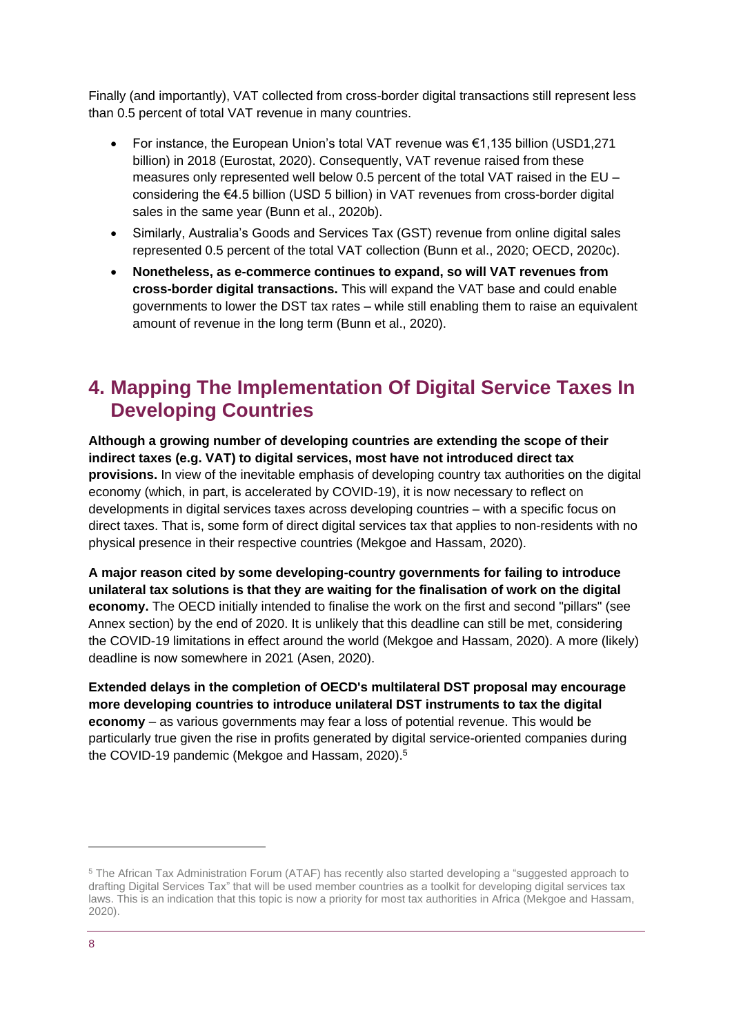Finally (and importantly), VAT collected from cross-border digital transactions still represent less than 0.5 percent of total VAT revenue in many countries.

- For instance, the European Union's total VAT revenue was €1,135 billion (USD1,271 billion) in 2018 (Eurostat, 2020). Consequently, VAT revenue raised from these measures only represented well below 0.5 percent of the total VAT raised in the EU – considering the €4.5 billion (USD 5 billion) in VAT revenues from cross-border digital sales in the same year (Bunn et al., 2020b).
- Similarly, Australia's Goods and Services Tax (GST) revenue from online digital sales represented 0.5 percent of the total VAT collection (Bunn et al., 2020; OECD, 2020c).
- **Nonetheless, as e-commerce continues to expand, so will VAT revenues from cross-border digital transactions.** This will expand the VAT base and could enable governments to lower the DST tax rates – while still enabling them to raise an equivalent amount of revenue in the long term (Bunn et al., 2020).

# <span id="page-7-0"></span>**4. Mapping The Implementation Of Digital Service Taxes In Developing Countries**

**Although a growing number of developing countries are extending the scope of their indirect taxes (e.g. VAT) to digital services, most have not introduced direct tax provisions.** In view of the inevitable emphasis of developing country tax authorities on the digital economy (which, in part, is accelerated by COVID-19), it is now necessary to reflect on developments in digital services taxes across developing countries – with a specific focus on direct taxes. That is, some form of direct digital services tax that applies to non-residents with no physical presence in their respective countries (Mekgoe and Hassam, 2020).

**A major reason cited by some developing-country governments for failing to introduce unilateral tax solutions is that they are waiting for the finalisation of work on the digital economy.** The OECD initially intended to finalise the work on the first and second "pillars" (see Annex section) by the end of 2020. It is unlikely that this deadline can still be met, considering the COVID-19 limitations in effect around the world (Mekgoe and Hassam, 2020). A more (likely) deadline is now somewhere in 2021 (Asen, 2020).

**Extended delays in the completion of OECD's multilateral DST proposal may encourage more developing countries to introduce unilateral DST instruments to tax the digital economy** – as various governments may fear a loss of potential revenue. This would be particularly true given the rise in profits generated by digital service-oriented companies during the COVID-19 pandemic (Mekgoe and Hassam, 2020). 5

<sup>5</sup> The African Tax Administration Forum (ATAF) has recently also started developing a "suggested approach to drafting Digital Services Tax" that will be used member countries as a toolkit for developing digital services tax laws. This is an indication that this topic is now a priority for most tax authorities in Africa (Mekgoe and Hassam, 2020).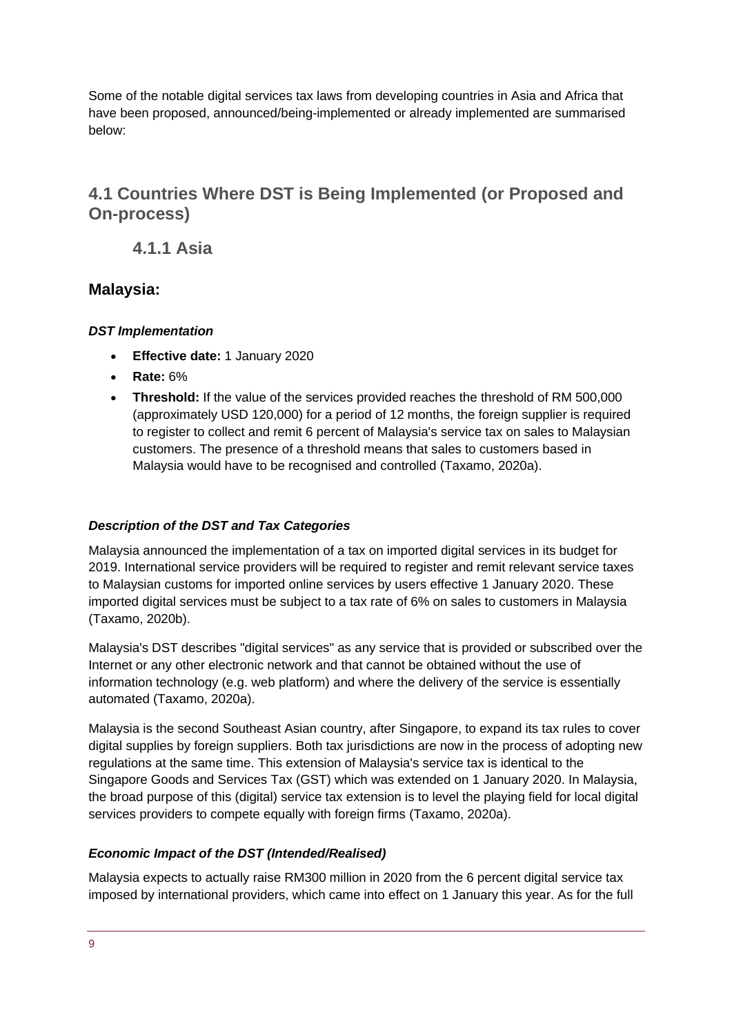Some of the notable digital services tax laws from developing countries in Asia and Africa that have been proposed, announced/being-implemented or already implemented are summarised below:

### **4.1 Countries Where DST is Being Implemented (or Proposed and On-process)**

**4.1.1 Asia**

### **Malaysia:**

#### *DST Implementation*

- **Effective date:** 1 January 2020
- **Rate:** 6%
- **Threshold:** If the value of the services provided reaches the threshold of RM 500,000 (approximately USD 120,000) for a period of 12 months, the foreign supplier is required to register to collect and remit 6 percent of Malaysia's service tax on sales to Malaysian customers. The presence of a threshold means that sales to customers based in Malaysia would have to be recognised and controlled (Taxamo, 2020a).

#### *Description of the DST and Tax Categories*

Malaysia announced the implementation of a tax on imported digital services in its budget for 2019. International service providers will be required to register and remit relevant service taxes to Malaysian customs for imported online services by users effective 1 January 2020. These imported digital services must be subject to a tax rate of 6% on sales to customers in Malaysia (Taxamo, 2020b).

Malaysia's DST describes "digital services" as any service that is provided or subscribed over the Internet or any other electronic network and that cannot be obtained without the use of information technology (e.g. web platform) and where the delivery of the service is essentially automated (Taxamo, 2020a).

Malaysia is the second Southeast Asian country, after Singapore, to expand its tax rules to cover digital supplies by foreign suppliers. Both tax jurisdictions are now in the process of adopting new regulations at the same time. This extension of Malaysia's service tax is identical to the Singapore Goods and Services Tax (GST) which was extended on 1 January 2020. In Malaysia, the broad purpose of this (digital) service tax extension is to level the playing field for local digital services providers to compete equally with foreign firms (Taxamo, 2020a).

#### *Economic Impact of the DST (Intended/Realised)*

Malaysia expects to actually raise RM300 million in 2020 from the 6 percent digital service tax imposed by international providers, which came into effect on 1 January this year. As for the full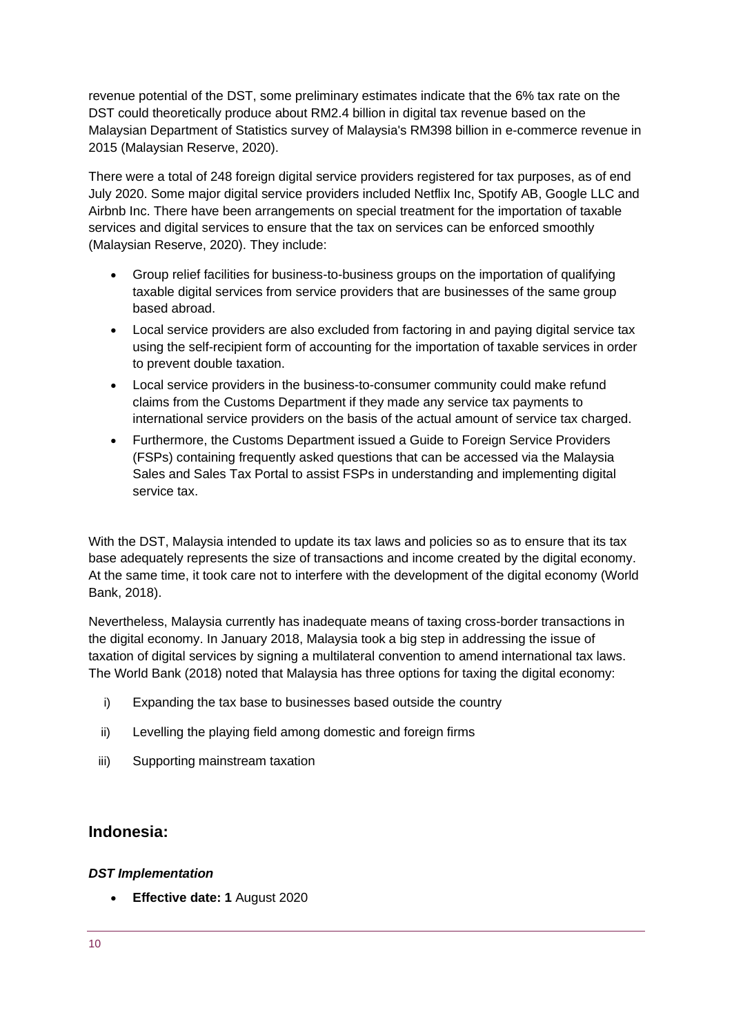revenue potential of the DST, some preliminary estimates indicate that the 6% tax rate on the DST could theoretically produce about RM2.4 billion in digital tax revenue based on the Malaysian Department of Statistics survey of Malaysia's RM398 billion in e-commerce revenue in 2015 (Malaysian Reserve, 2020).

There were a total of 248 foreign digital service providers registered for tax purposes, as of end July 2020. Some major digital service providers included Netflix Inc, Spotify AB, Google LLC and Airbnb Inc. There have been arrangements on special treatment for the importation of taxable services and digital services to ensure that the tax on services can be enforced smoothly (Malaysian Reserve, 2020). They include:

- Group relief facilities for business-to-business groups on the importation of qualifying taxable digital services from service providers that are businesses of the same group based abroad.
- Local service providers are also excluded from factoring in and paying digital service tax using the self-recipient form of accounting for the importation of taxable services in order to prevent double taxation.
- Local service providers in the business-to-consumer community could make refund claims from the Customs Department if they made any service tax payments to international service providers on the basis of the actual amount of service tax charged.
- Furthermore, the Customs Department issued a Guide to Foreign Service Providers (FSPs) containing frequently asked questions that can be accessed via the Malaysia Sales and Sales Tax Portal to assist FSPs in understanding and implementing digital service tax.

With the DST, Malaysia intended to update its tax laws and policies so as to ensure that its tax base adequately represents the size of transactions and income created by the digital economy. At the same time, it took care not to interfere with the development of the digital economy (World Bank, 2018).

Nevertheless, Malaysia currently has inadequate means of taxing cross-border transactions in the digital economy. In January 2018, Malaysia took a big step in addressing the issue of taxation of digital services by signing a multilateral convention to amend international tax laws. The World Bank (2018) noted that Malaysia has three options for taxing the digital economy:

- i) Expanding the tax base to businesses based outside the country
- ii) Levelling the playing field among domestic and foreign firms
- iii) Supporting mainstream taxation

#### **Indonesia:**

#### *DST Implementation*

• **Effective date: 1** August 2020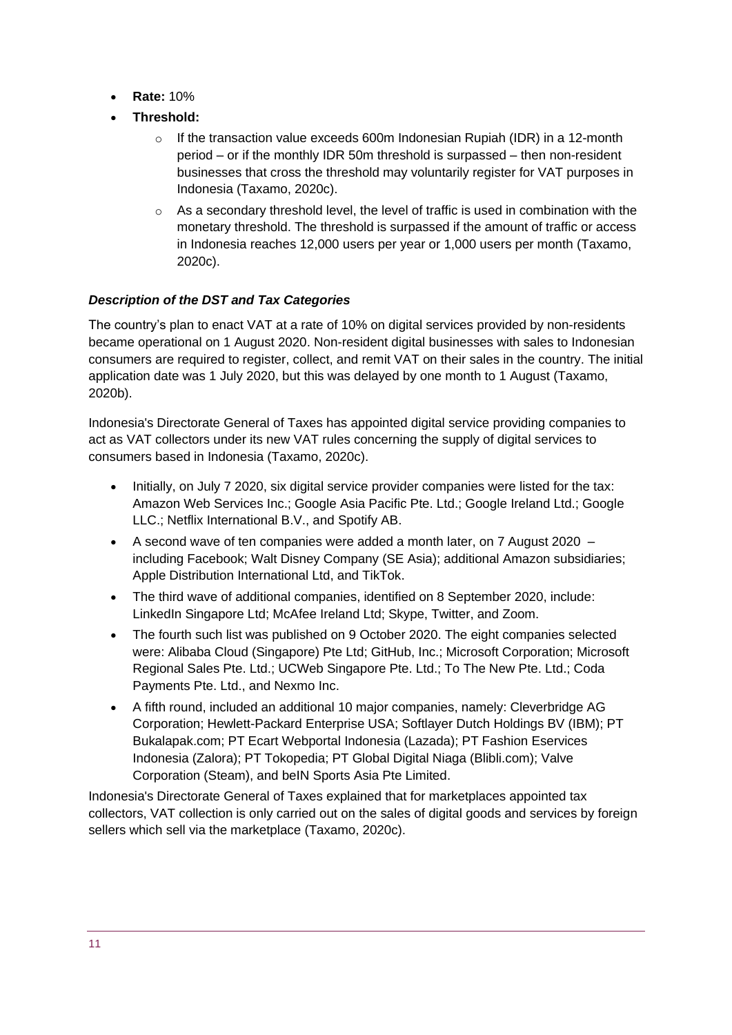- **Rate:** 10%
- **Threshold:** 
	- $\circ$  If the transaction value exceeds 600m Indonesian Rupiah (IDR) in a 12-month period – or if the monthly IDR 50m threshold is surpassed – then non-resident businesses that cross the threshold may voluntarily register for VAT purposes in Indonesia (Taxamo, 2020c).
	- $\circ$  As a secondary threshold level, the level of traffic is used in combination with the monetary threshold. The threshold is surpassed if the amount of traffic or access in Indonesia reaches 12,000 users per year or 1,000 users per month (Taxamo, 2020c).

#### *Description of the DST and Tax Categories*

The country's plan to enact VAT at a rate of 10% on digital services provided by non-residents became operational on 1 August 2020. Non-resident digital businesses with sales to Indonesian consumers are required to register, collect, and remit VAT on their sales in the country. The initial application date was 1 July 2020, but this was delayed by one month to 1 August (Taxamo, 2020b).

Indonesia's Directorate General of Taxes has appointed digital service providing companies to act as VAT collectors under its new VAT rules concerning the supply of digital services to consumers based in Indonesia (Taxamo, 2020c).

- Initially, on July 7 2020, six digital service provider companies were listed for the tax: Amazon Web Services Inc.; Google Asia Pacific Pte. Ltd.; Google Ireland Ltd.; Google LLC.; Netflix International B.V., and Spotify AB.
- A second wave of ten companies were added a month later, on 7 August 2020 including Facebook; Walt Disney Company (SE Asia); additional Amazon subsidiaries; Apple Distribution International Ltd, and TikTok.
- The third wave of additional companies, identified on 8 September 2020, include: LinkedIn Singapore Ltd; McAfee Ireland Ltd; Skype, Twitter, and Zoom.
- The fourth such list was published on 9 October 2020. The eight companies selected were: Alibaba Cloud (Singapore) Pte Ltd; GitHub, Inc.; Microsoft Corporation; Microsoft Regional Sales Pte. Ltd.; UCWeb Singapore Pte. Ltd.; To The New Pte. Ltd.; Coda Payments Pte. Ltd., and Nexmo Inc.
- A fifth round, included an additional 10 major companies, namely: Cleverbridge AG Corporation; Hewlett-Packard Enterprise USA; Softlayer Dutch Holdings BV (IBM); PT Bukalapak.com; PT Ecart Webportal Indonesia (Lazada); PT Fashion Eservices Indonesia (Zalora); PT Tokopedia; PT Global Digital Niaga (Blibli.com); Valve Corporation (Steam), and beIN Sports Asia Pte Limited.

Indonesia's Directorate General of Taxes explained that for marketplaces appointed tax collectors, VAT collection is only carried out on the sales of digital goods and services by foreign sellers which sell via the marketplace (Taxamo, 2020c).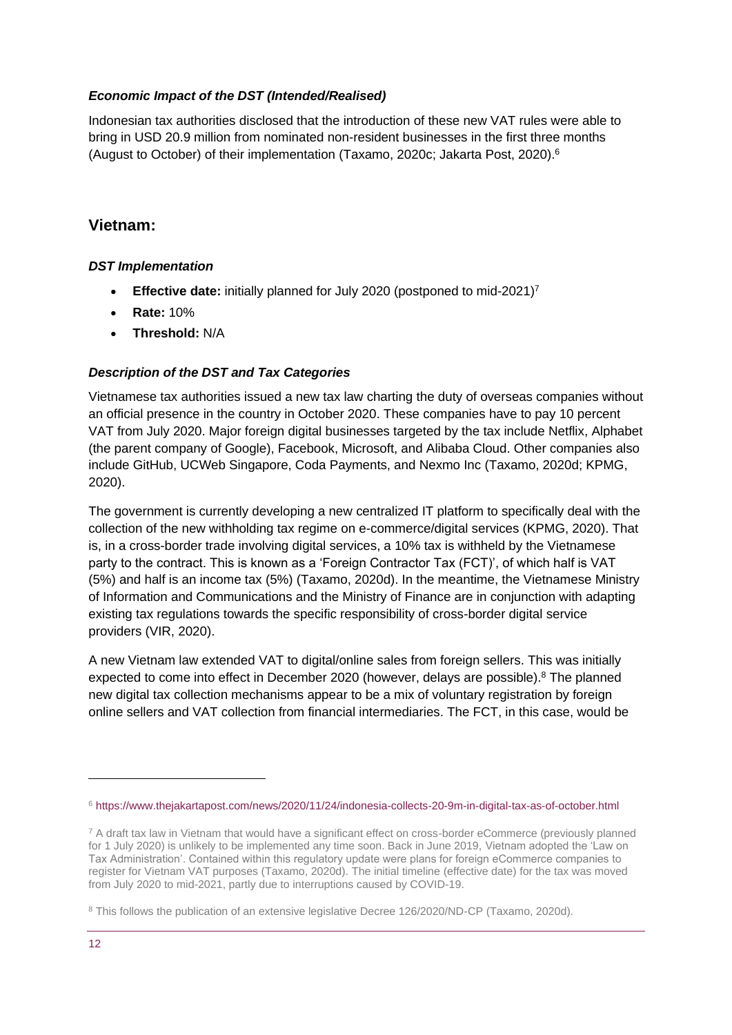#### *Economic Impact of the DST (Intended/Realised)*

Indonesian tax authorities disclosed that the introduction of these new VAT rules were able to bring in USD 20.9 million from nominated non-resident businesses in the first three months (August to October) of their implementation (Taxamo, 2020c; Jakarta Post, 2020). 6

#### **Vietnam:**

#### *DST Implementation*

- **Effective date:** initially planned for July 2020 (postponed to mid-2021)<sup>7</sup>
- **Rate:** 10%
- **Threshold:** N/A

#### *Description of the DST and Tax Categories*

Vietnamese tax authorities issued a new tax law charting the duty of overseas companies without an official presence in the country in October 2020. These companies have to pay 10 percent VAT from July 2020. Major foreign digital businesses targeted by the tax include Netflix, Alphabet (the parent company of Google), Facebook, Microsoft, and Alibaba Cloud. Other companies also include GitHub, UCWeb Singapore, Coda Payments, and Nexmo Inc (Taxamo, 2020d; KPMG, 2020).

The government is currently developing a new centralized IT platform to specifically deal with the collection of the new withholding tax regime on e-commerce/digital services (KPMG, 2020). That is, in a cross-border trade involving digital services, a 10% tax is withheld by the Vietnamese party to the contract. This is known as a 'Foreign Contractor Tax (FCT)', of which half is VAT (5%) and half is an income tax (5%) (Taxamo, 2020d). In the meantime, the Vietnamese Ministry of Information and Communications and the Ministry of Finance are in conjunction with adapting existing tax regulations towards the specific responsibility of cross-border digital service providers (VIR, 2020).

A new Vietnam law extended VAT to digital/online sales from foreign sellers. This was initially expected to come into effect in December 2020 (however, delays are possible).<sup>8</sup> The planned new digital tax collection mechanisms appear to be a mix of voluntary registration by foreign online sellers and VAT collection from financial intermediaries. The FCT, in this case, would be

<sup>6</sup> <https://www.thejakartapost.com/news/2020/11/24/indonesia-collects-20-9m-in-digital-tax-as-of-october.html>

<sup>&</sup>lt;sup>7</sup> A draft tax law in Vietnam that would have a significant effect on cross-border eCommerce (previously planned for 1 July 2020) is unlikely to be implemented any time soon. Back in June 2019, Vietnam adopted the 'Law on Tax Administration'. Contained within this regulatory update were plans for foreign eCommerce companies to register for Vietnam VAT purposes (Taxamo, 2020d). The initial timeline (effective date) for the tax was moved from July 2020 to mid-2021, partly due to interruptions caused by COVID-19.

<sup>&</sup>lt;sup>8</sup> This follows the publication of an extensive legislative Decree 126/2020/ND-CP (Taxamo, 2020d).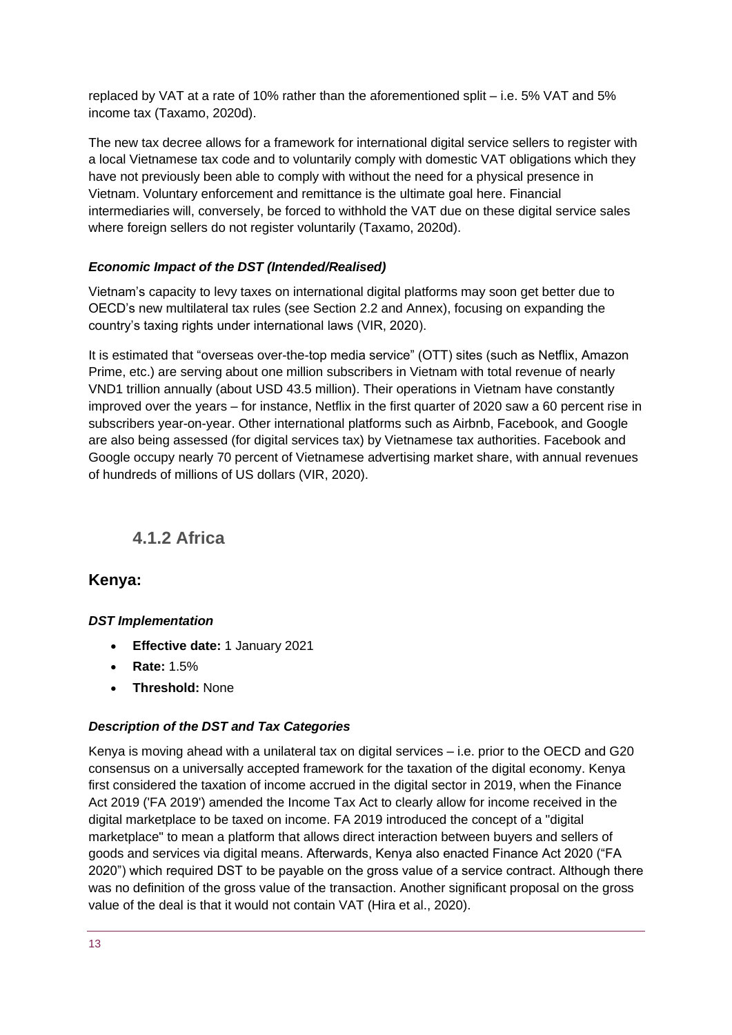replaced by VAT at a rate of 10% rather than the aforementioned split – i.e. 5% VAT and 5% income tax (Taxamo, 2020d).

The new tax decree allows for a framework for international digital service sellers to register with a local Vietnamese tax code and to voluntarily comply with domestic VAT obligations which they have not previously been able to comply with without the need for a physical presence in Vietnam. Voluntary enforcement and remittance is the ultimate goal here. Financial intermediaries will, conversely, be forced to withhold the VAT due on these digital service sales where foreign sellers do not register voluntarily (Taxamo, 2020d).

#### *Economic Impact of the DST (Intended/Realised)*

Vietnam's capacity to levy taxes on international digital platforms may soon get better due to OECD's new multilateral tax rules (see Section 2.2 and Annex), focusing on expanding the country's taxing rights under international laws (VIR, 2020).

It is estimated that "overseas over-the-top media service" (OTT) sites (such as Netflix, Amazon Prime, etc.) are serving about one million subscribers in Vietnam with total revenue of nearly VND1 trillion annually (about USD 43.5 million). Their operations in Vietnam have constantly improved over the years – for instance, Netflix in the first quarter of 2020 saw a 60 percent rise in subscribers year-on-year. Other international platforms such as Airbnb, Facebook, and Google are also being assessed (for digital services tax) by Vietnamese tax authorities. Facebook and Google occupy nearly 70 percent of Vietnamese advertising market share, with annual revenues of hundreds of millions of US dollars (VIR, 2020).

### **4.1.2 Africa**

#### **Kenya:**

#### *DST Implementation*

- **Effective date:** 1 January 2021
- **Rate:** 1.5%
- **Threshold:** None

#### *Description of the DST and Tax Categories*

Kenya is moving ahead with a unilateral tax on digital services  $-$  i.e. prior to the OECD and G20 consensus on a universally accepted framework for the taxation of the digital economy. Kenya first considered the taxation of income accrued in the digital sector in 2019, when the Finance Act 2019 ('FA 2019') amended the Income Tax Act to clearly allow for income received in the digital marketplace to be taxed on income. FA 2019 introduced the concept of a "digital marketplace" to mean a platform that allows direct interaction between buyers and sellers of goods and services via digital means. Afterwards, Kenya also enacted Finance Act 2020 ("FA 2020") which required DST to be payable on the gross value of a service contract. Although there was no definition of the gross value of the transaction. Another significant proposal on the gross value of the deal is that it would not contain VAT (Hira et al., 2020).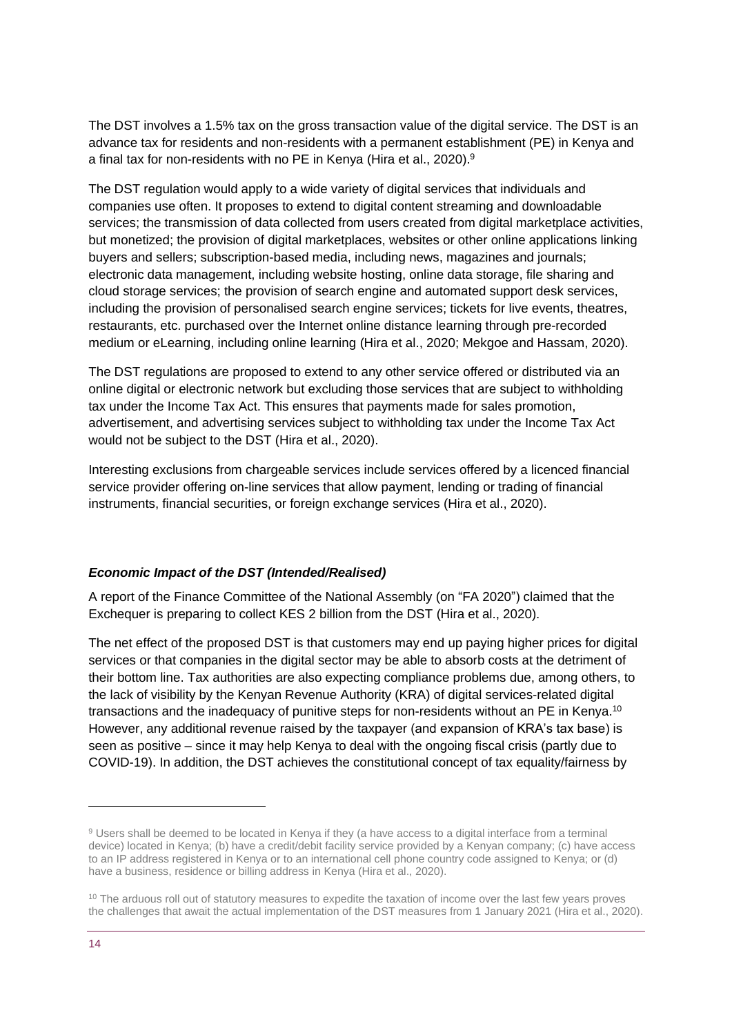The DST involves a 1.5% tax on the gross transaction value of the digital service. The DST is an advance tax for residents and non-residents with a permanent establishment (PE) in Kenya and a final tax for non-residents with no PE in Kenya (Hira et al., 2020).<sup>9</sup>

The DST regulation would apply to a wide variety of digital services that individuals and companies use often. It proposes to extend to digital content streaming and downloadable services; the transmission of data collected from users created from digital marketplace activities, but monetized; the provision of digital marketplaces, websites or other online applications linking buyers and sellers; subscription-based media, including news, magazines and journals; electronic data management, including website hosting, online data storage, file sharing and cloud storage services; the provision of search engine and automated support desk services, including the provision of personalised search engine services; tickets for live events, theatres, restaurants, etc. purchased over the Internet online distance learning through pre-recorded medium or eLearning, including online learning (Hira et al., 2020; Mekgoe and Hassam, 2020).

The DST regulations are proposed to extend to any other service offered or distributed via an online digital or electronic network but excluding those services that are subject to withholding tax under the Income Tax Act. This ensures that payments made for sales promotion, advertisement, and advertising services subject to withholding tax under the Income Tax Act would not be subject to the DST (Hira et al., 2020).

Interesting exclusions from chargeable services include services offered by a licenced financial service provider offering on-line services that allow payment, lending or trading of financial instruments, financial securities, or foreign exchange services (Hira et al., 2020).

#### *Economic Impact of the DST (Intended/Realised)*

A report of the Finance Committee of the National Assembly (on "FA 2020") claimed that the Exchequer is preparing to collect KES 2 billion from the DST (Hira et al., 2020).

The net effect of the proposed DST is that customers may end up paying higher prices for digital services or that companies in the digital sector may be able to absorb costs at the detriment of their bottom line. Tax authorities are also expecting compliance problems due, among others, to the lack of visibility by the Kenyan Revenue Authority (KRA) of digital services-related digital transactions and the inadequacy of punitive steps for non-residents without an PE in Kenya.<sup>10</sup> However, any additional revenue raised by the taxpayer (and expansion of KRA's tax base) is seen as positive – since it may help Kenya to deal with the ongoing fiscal crisis (partly due to COVID-19). In addition, the DST achieves the constitutional concept of tax equality/fairness by

<sup>9</sup> Users shall be deemed to be located in Kenya if they (a have access to a digital interface from a terminal device) located in Kenya; (b) have a credit/debit facility service provided by a Kenyan company; (c) have access to an IP address registered in Kenya or to an international cell phone country code assigned to Kenya; or (d) have a business, residence or billing address in Kenya (Hira et al., 2020).

<sup>&</sup>lt;sup>10</sup> The arduous roll out of statutory measures to expedite the taxation of income over the last few years proves the challenges that await the actual implementation of the DST measures from 1 January 2021 (Hira et al., 2020).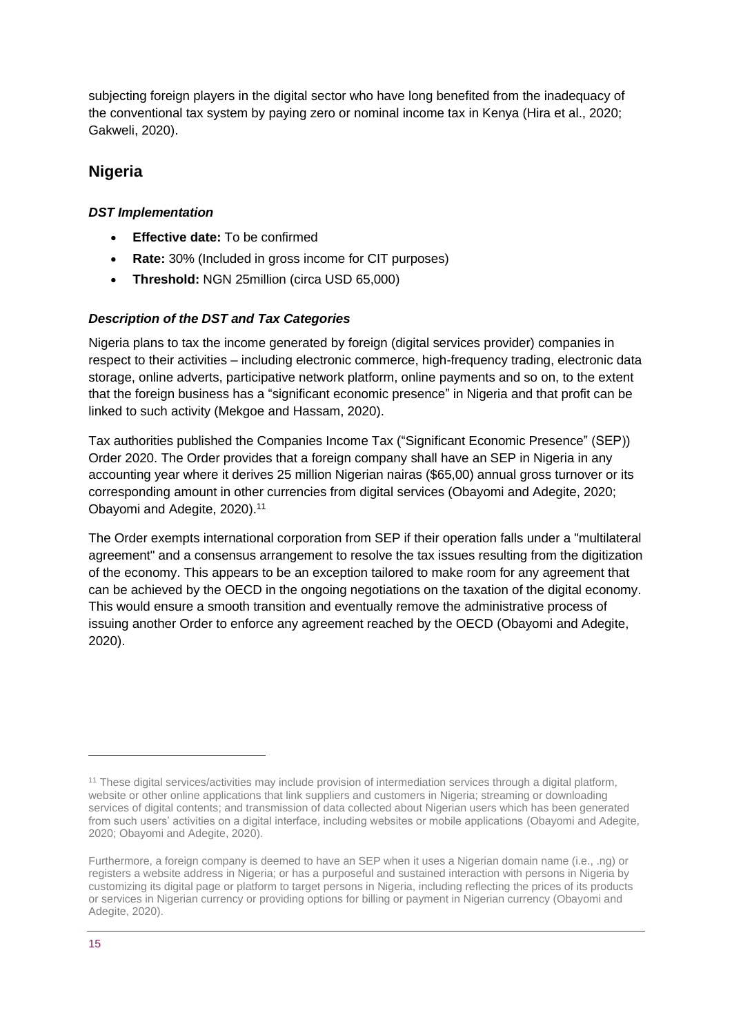subjecting foreign players in the digital sector who have long benefited from the inadequacy of the conventional tax system by paying zero or nominal income tax in Kenya (Hira et al., 2020; Gakweli, 2020).

### **Nigeria**

#### *DST Implementation*

- **Effective date:** To be confirmed
- **Rate:** 30% (Included in gross income for CIT purposes)
- **Threshold:** NGN 25million (circa USD 65,000)

#### *Description of the DST and Tax Categories*

Nigeria plans to tax the income generated by foreign (digital services provider) companies in respect to their activities – including electronic commerce, high-frequency trading, electronic data storage, online adverts, participative network platform, online payments and so on, to the extent that the foreign business has a "significant economic presence" in Nigeria and that profit can be linked to such activity (Mekgoe and Hassam, 2020).

Tax authorities published the Companies Income Tax ("Significant Economic Presence" (SEP)) Order 2020. The Order provides that a foreign company shall have an SEP in Nigeria in any accounting year where it derives 25 million Nigerian nairas (\$65,00) annual gross turnover or its corresponding amount in other currencies from digital services (Obayomi and Adegite, 2020; Obayomi and Adegite, 2020). 11

The Order exempts international corporation from SEP if their operation falls under a "multilateral agreement" and a consensus arrangement to resolve the tax issues resulting from the digitization of the economy. This appears to be an exception tailored to make room for any agreement that can be achieved by the OECD in the ongoing negotiations on the taxation of the digital economy. This would ensure a smooth transition and eventually remove the administrative process of issuing another Order to enforce any agreement reached by the OECD (Obayomi and Adegite, 2020).

<sup>11</sup> These digital services/activities may include provision of intermediation services through a digital platform, website or other online applications that link suppliers and customers in Nigeria; streaming or downloading services of digital contents; and transmission of data collected about Nigerian users which has been generated from such users' activities on a digital interface, including websites or mobile applications (Obayomi and Adegite, 2020; Obayomi and Adegite, 2020).

Furthermore, a foreign company is deemed to have an SEP when it uses a Nigerian domain name (i.e., .ng) or registers a website address in Nigeria; or has a purposeful and sustained interaction with persons in Nigeria by customizing its digital page or platform to target persons in Nigeria, including reflecting the prices of its products or services in Nigerian currency or providing options for billing or payment in Nigerian currency (Obayomi and Adegite, 2020).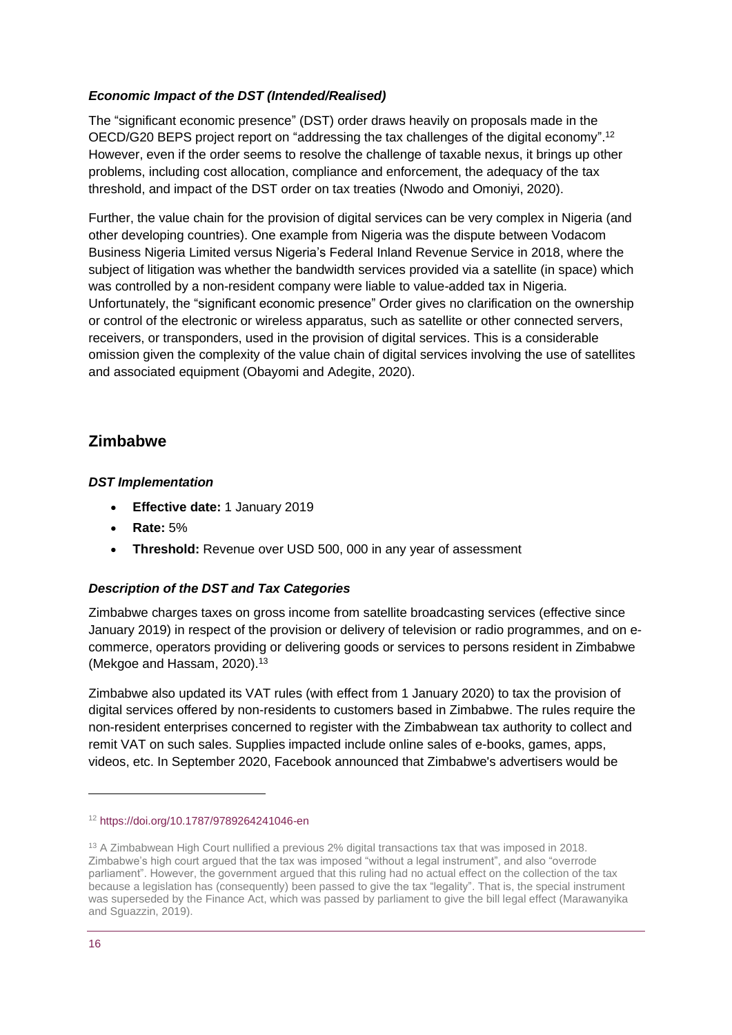#### *Economic Impact of the DST (Intended/Realised)*

The "significant economic presence" (DST) order draws heavily on proposals made in the OECD/G20 BEPS project report on "addressing the tax challenges of the digital economy". 12 However, even if the order seems to resolve the challenge of taxable nexus, it brings up other problems, including cost allocation, compliance and enforcement, the adequacy of the tax threshold, and impact of the DST order on tax treaties (Nwodo and Omoniyi, 2020).

Further, the value chain for the provision of digital services can be very complex in Nigeria (and other developing countries). One example from Nigeria was the dispute between Vodacom Business Nigeria Limited versus Nigeria's Federal Inland Revenue Service in 2018, where the subject of litigation was whether the bandwidth services provided via a satellite (in space) which was controlled by a non-resident company were liable to value-added tax in Nigeria. Unfortunately, the "significant economic presence" Order gives no clarification on the ownership or control of the electronic or wireless apparatus, such as satellite or other connected servers, receivers, or transponders, used in the provision of digital services. This is a considerable omission given the complexity of the value chain of digital services involving the use of satellites and associated equipment (Obayomi and Adegite, 2020).

### **Zimbabwe**

#### *DST Implementation*

- **Effective date:** 1 January 2019
- **Rate:** 5%
- **Threshold:** Revenue over USD 500, 000 in any year of assessment

#### *Description of the DST and Tax Categories*

Zimbabwe charges taxes on gross income from satellite broadcasting services (effective since January 2019) in respect of the provision or delivery of television or radio programmes, and on ecommerce, operators providing or delivering goods or services to persons resident in Zimbabwe (Mekgoe and Hassam, 2020).<sup>13</sup>

Zimbabwe also updated its VAT rules (with effect from 1 January 2020) to tax the provision of digital services offered by non-residents to customers based in Zimbabwe. The rules require the non-resident enterprises concerned to register with the Zimbabwean tax authority to collect and remit VAT on such sales. Supplies impacted include online sales of e-books, games, apps, videos, etc. In September 2020, Facebook announced that Zimbabwe's advertisers would be

<sup>12</sup> <https://doi.org/10.1787/9789264241046-en>

<sup>&</sup>lt;sup>13</sup> A Zimbabwean High Court nullified a previous 2% digital transactions tax that was imposed in 2018. Zimbabwe's high court argued that the tax was imposed "without a legal instrument", and also "overrode parliament". However, the government argued that this ruling had no actual effect on the collection of the tax because a legislation has (consequently) been passed to give the tax "legality". That is, the special instrument was superseded by the Finance Act, which was passed by parliament to give the bill legal effect (Marawanyika and Squazzin, 2019).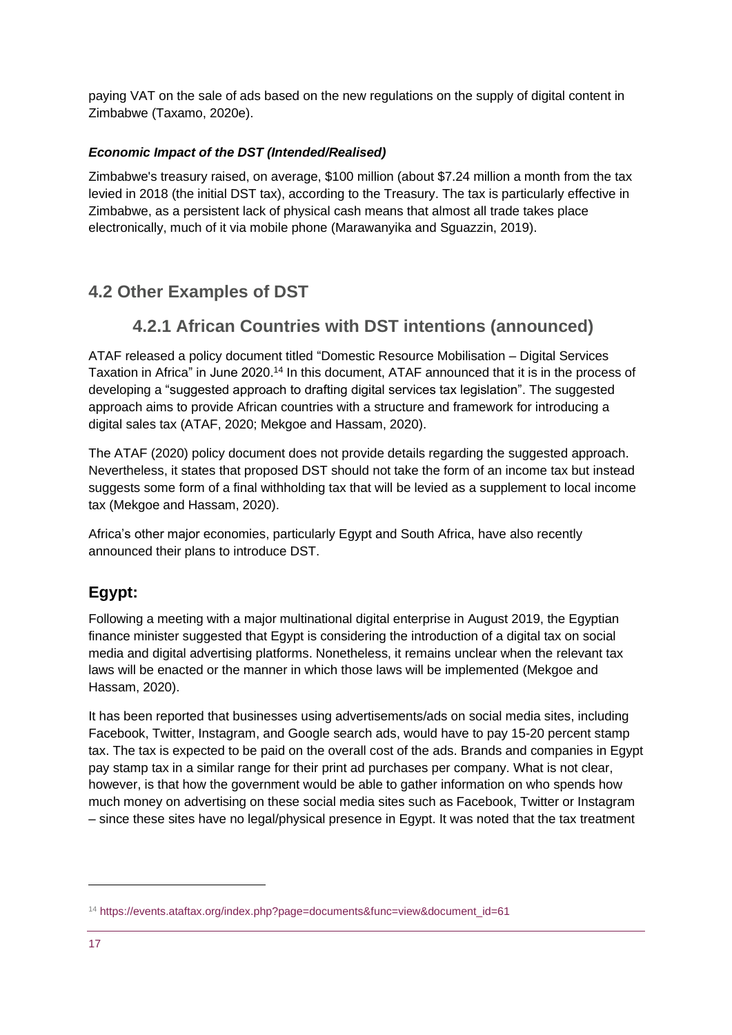paying VAT on the sale of ads based on the new regulations on the supply of digital content in Zimbabwe (Taxamo, 2020e).

#### *Economic Impact of the DST (Intended/Realised)*

Zimbabwe's treasury raised, on average, \$100 million (about \$7.24 million a month from the tax levied in 2018 (the initial DST tax), according to the Treasury. The tax is particularly effective in Zimbabwe, as a persistent lack of physical cash means that almost all trade takes place electronically, much of it via mobile phone (Marawanyika and Sguazzin, 2019).

### **4.2 Other Examples of DST**

### **4.2.1 African Countries with DST intentions (announced)**

ATAF released a policy document titled "Domestic Resource Mobilisation – Digital Services Taxation in Africa" in June 2020.<sup>14</sup> In this document, ATAF announced that it is in the process of developing a "suggested approach to drafting digital services tax legislation". The suggested approach aims to provide African countries with a structure and framework for introducing a digital sales tax (ATAF, 2020; Mekgoe and Hassam, 2020).

The ATAF (2020) policy document does not provide details regarding the suggested approach. Nevertheless, it states that proposed DST should not take the form of an income tax but instead suggests some form of a final withholding tax that will be levied as a supplement to local income tax (Mekgoe and Hassam, 2020).

Africa's other major economies, particularly Egypt and South Africa, have also recently announced their plans to introduce DST.

### **Egypt:**

Following a meeting with a major multinational digital enterprise in August 2019, the Egyptian finance minister suggested that Egypt is considering the introduction of a digital tax on social media and digital advertising platforms. Nonetheless, it remains unclear when the relevant tax laws will be enacted or the manner in which those laws will be implemented (Mekgoe and Hassam, 2020).

It has been reported that businesses using advertisements/ads on social media sites, including Facebook, Twitter, Instagram, and Google search ads, would have to pay 15-20 percent stamp tax. The tax is expected to be paid on the overall cost of the ads. Brands and companies in Egypt pay stamp tax in a similar range for their print ad purchases per company. What is not clear, however, is that how the government would be able to gather information on who spends how much money on advertising on these social media sites such as Facebook, Twitter or Instagram – since these sites have no legal/physical presence in Egypt. It was noted that the tax treatment

<sup>14</sup> [https://events.ataftax.org/index.php?page=documents&func=view&document\\_id=61](https://events.ataftax.org/index.php?page=documents&func=view&document_id=61)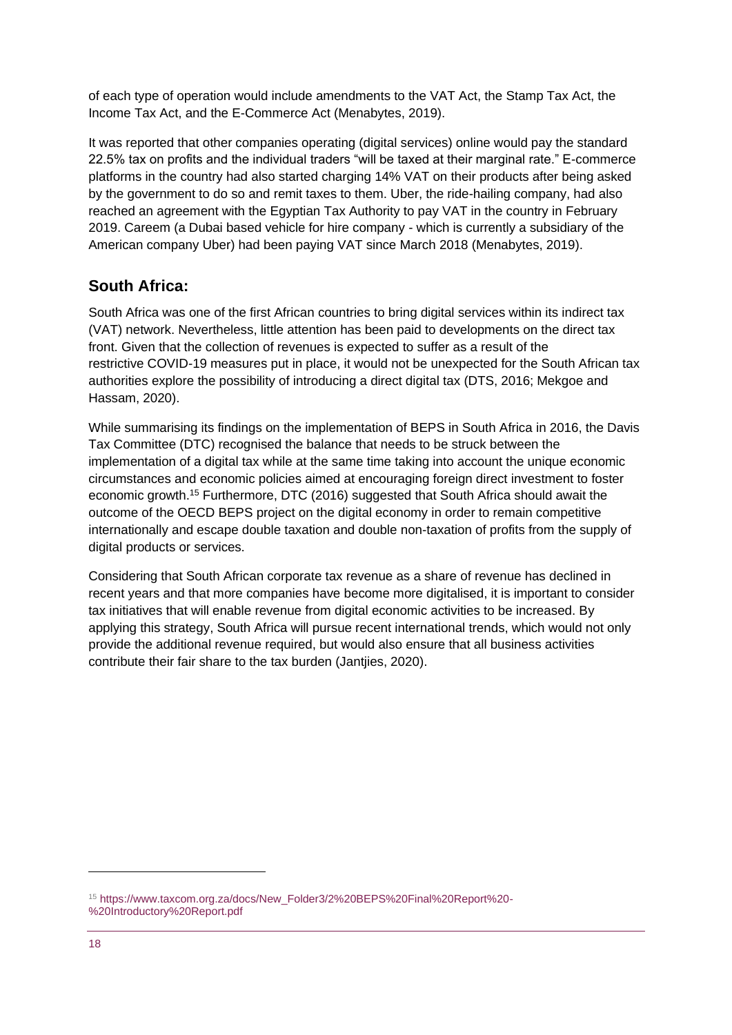of each type of operation would include amendments to the VAT Act, the Stamp Tax Act, the Income Tax Act, and the E-Commerce Act (Menabytes, 2019).

It was reported that other companies operating (digital services) online would pay the standard 22.5% tax on profits and the individual traders "will be taxed at their marginal rate." E-commerce platforms in the country had also started charging 14% VAT on their products after being asked by the government to do so and remit taxes to them. Uber, the ride-hailing company, had also reached an agreement with the Egyptian Tax Authority to pay VAT in the country in February 2019. Careem (a Dubai based vehicle for hire company - which is currently a subsidiary of the American company Uber) had been paying VAT since March 2018 (Menabytes, 2019).

### **South Africa:**

South Africa was one of the first African countries to bring digital services within its indirect tax (VAT) network. Nevertheless, little attention has been paid to developments on the direct tax front. Given that the collection of revenues is expected to suffer as a result of the restrictive COVID-19 measures put in place, it would not be unexpected for the South African tax authorities explore the possibility of introducing a direct digital tax (DTS, 2016; Mekgoe and Hassam, 2020).

While summarising its findings on the implementation of BEPS in South Africa in 2016, the Davis Tax Committee (DTC) recognised the balance that needs to be struck between the implementation of a digital tax while at the same time taking into account the unique economic circumstances and economic policies aimed at encouraging foreign direct investment to foster economic growth.<sup>15</sup> Furthermore, DTC (2016) suggested that South Africa should await the outcome of the OECD BEPS project on the digital economy in order to remain competitive internationally and escape double taxation and double non-taxation of profits from the supply of digital products or services.

Considering that South African corporate tax revenue as a share of revenue has declined in recent years and that more companies have become more digitalised, it is important to consider tax initiatives that will enable revenue from digital economic activities to be increased. By applying this strategy, South Africa will pursue recent international trends, which would not only provide the additional revenue required, but would also ensure that all business activities contribute their fair share to the tax burden (Jantjies, 2020).

<sup>15</sup> [https://www.taxcom.org.za/docs/New\\_Folder3/2%20BEPS%20Final%20Report%20-](https://www.taxcom.org.za/docs/New_Folder3/2%20BEPS%20Final%20Report%20-%20Introductory%20Report.pdf) [%20Introductory%20Report.pdf](https://www.taxcom.org.za/docs/New_Folder3/2%20BEPS%20Final%20Report%20-%20Introductory%20Report.pdf)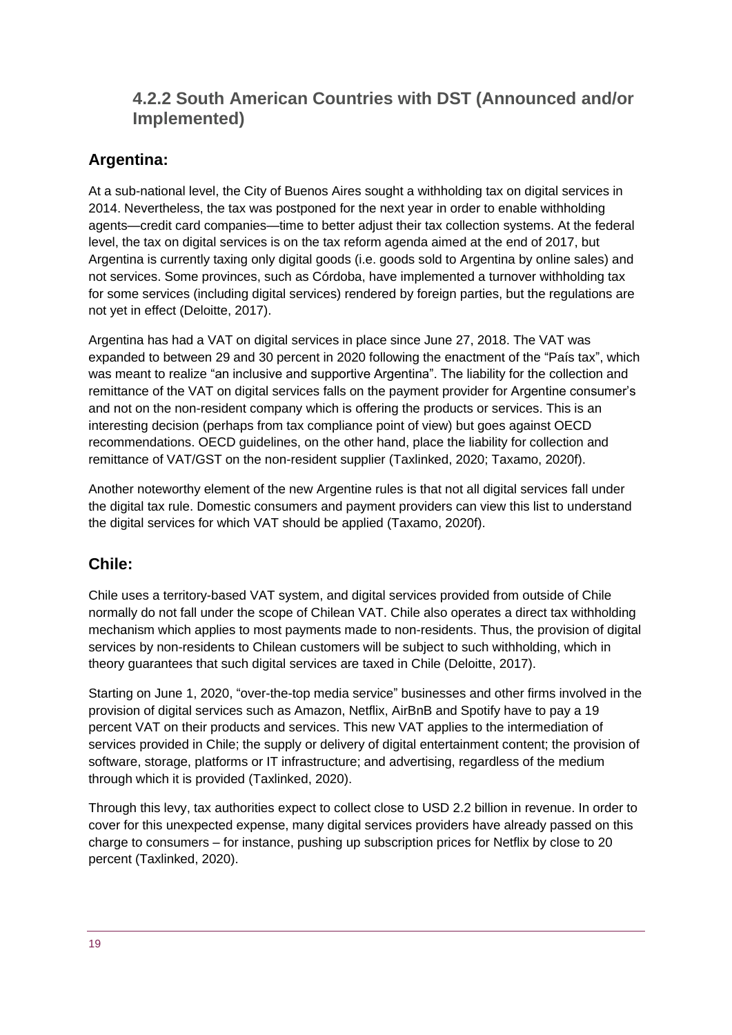### **4.2.2 South American Countries with DST (Announced and/or Implemented)**

### **Argentina:**

At a sub-national level, the City of Buenos Aires sought a withholding tax on digital services in 2014. Nevertheless, the tax was postponed for the next year in order to enable withholding agents—credit card companies—time to better adjust their tax collection systems. At the federal level, the tax on digital services is on the tax reform agenda aimed at the end of 2017, but Argentina is currently taxing only digital goods (i.e. goods sold to Argentina by online sales) and not services. Some provinces, such as Córdoba, have implemented a turnover withholding tax for some services (including digital services) rendered by foreign parties, but the regulations are not yet in effect (Deloitte, 2017).

Argentina has had a VAT on digital services in place since June 27, 2018. The VAT was expanded to between 29 and 30 percent in 2020 following the enactment of the "País tax", which was meant to realize "an inclusive and supportive Argentina". The liability for the collection and remittance of the VAT on digital services falls on the payment provider for Argentine consumer's and not on the non-resident company which is offering the products or services. This is an interesting decision (perhaps from tax compliance point of view) but goes against OECD recommendations. OECD guidelines, on the other hand, place the liability for collection and remittance of VAT/GST on the non-resident supplier (Taxlinked, 2020; Taxamo, 2020f).

Another noteworthy element of the new Argentine rules is that not all digital services fall under the digital tax rule. Domestic consumers and payment providers can view this list to understand the digital services for which VAT should be applied (Taxamo, 2020f).

### **Chile:**

Chile uses a territory-based VAT system, and digital services provided from outside of Chile normally do not fall under the scope of Chilean VAT. Chile also operates a direct tax withholding mechanism which applies to most payments made to non-residents. Thus, the provision of digital services by non-residents to Chilean customers will be subject to such withholding, which in theory guarantees that such digital services are taxed in Chile (Deloitte, 2017).

Starting on June 1, 2020, "over-the-top media service" businesses and other firms involved in the provision of digital services such as Amazon, Netflix, AirBnB and Spotify have to pay a 19 percent VAT on their products and services. This new VAT applies to the intermediation of services provided in Chile; the supply or delivery of digital entertainment content; the provision of software, storage, platforms or IT infrastructure; and advertising, regardless of the medium through which it is provided (Taxlinked, 2020).

Through this levy, tax authorities expect to collect close to USD 2.2 billion in revenue. In order to cover for this unexpected expense, many digital services providers have already passed on this charge to consumers – for instance, pushing up subscription prices for Netflix by close to 20 percent (Taxlinked, 2020).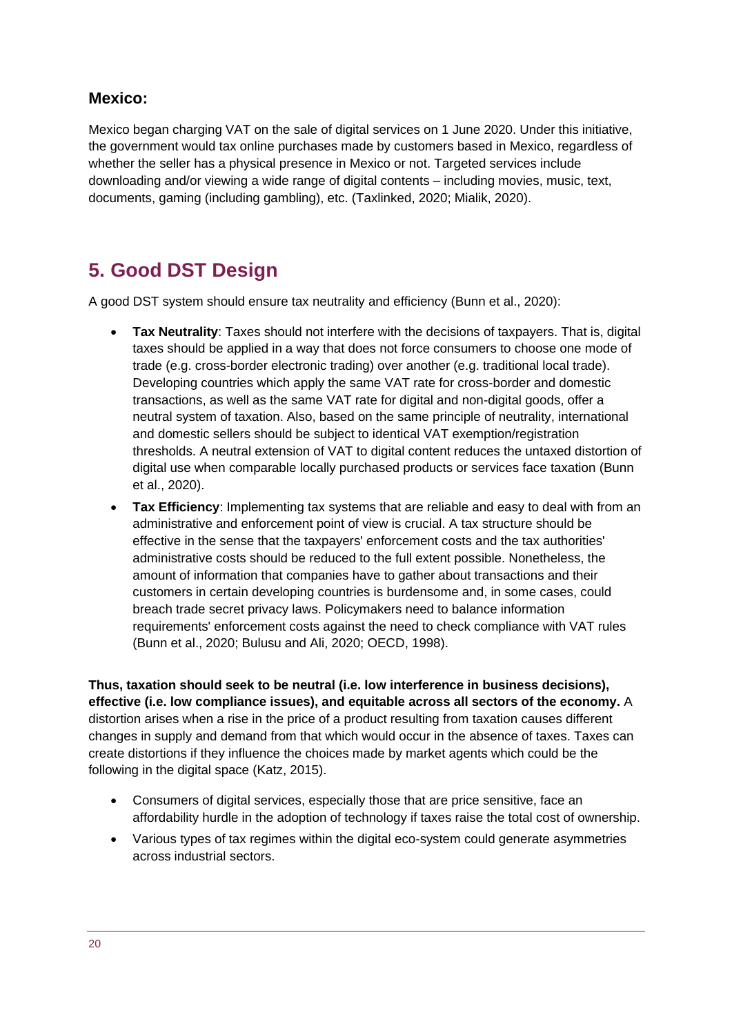#### **Mexico:**

Mexico began charging VAT on the sale of digital services on 1 June 2020. Under this initiative, the government would tax online purchases made by customers based in Mexico, regardless of whether the seller has a physical presence in Mexico or not. Targeted services include downloading and/or viewing a wide range of digital contents – including movies, music, text, documents, gaming (including gambling), etc. (Taxlinked, 2020; Mialik, 2020).

# <span id="page-19-0"></span>**5. Good DST Design**

A good DST system should ensure tax neutrality and efficiency (Bunn et al., 2020):

- **Tax Neutrality**: Taxes should not interfere with the decisions of taxpayers. That is, digital taxes should be applied in a way that does not force consumers to choose one mode of trade (e.g. cross-border electronic trading) over another (e.g. traditional local trade). Developing countries which apply the same VAT rate for cross-border and domestic transactions, as well as the same VAT rate for digital and non-digital goods, offer a neutral system of taxation. Also, based on the same principle of neutrality, international and domestic sellers should be subject to identical VAT exemption/registration thresholds. A neutral extension of VAT to digital content reduces the untaxed distortion of digital use when comparable locally purchased products or services face taxation (Bunn et al., 2020).
- **Tax Efficiency**: Implementing tax systems that are reliable and easy to deal with from an administrative and enforcement point of view is crucial. A tax structure should be effective in the sense that the taxpayers' enforcement costs and the tax authorities' administrative costs should be reduced to the full extent possible. Nonetheless, the amount of information that companies have to gather about transactions and their customers in certain developing countries is burdensome and, in some cases, could breach trade secret privacy laws. Policymakers need to balance information requirements' enforcement costs against the need to check compliance with VAT rules (Bunn et al., 2020; Bulusu and Ali, 2020; OECD, 1998).

**Thus, taxation should seek to be neutral (i.e. low interference in business decisions), effective (i.e. low compliance issues), and equitable across all sectors of the economy.** A distortion arises when a rise in the price of a product resulting from taxation causes different changes in supply and demand from that which would occur in the absence of taxes. Taxes can create distortions if they influence the choices made by market agents which could be the following in the digital space (Katz, 2015).

- Consumers of digital services, especially those that are price sensitive, face an affordability hurdle in the adoption of technology if taxes raise the total cost of ownership.
- Various types of tax regimes within the digital eco-system could generate asymmetries across industrial sectors.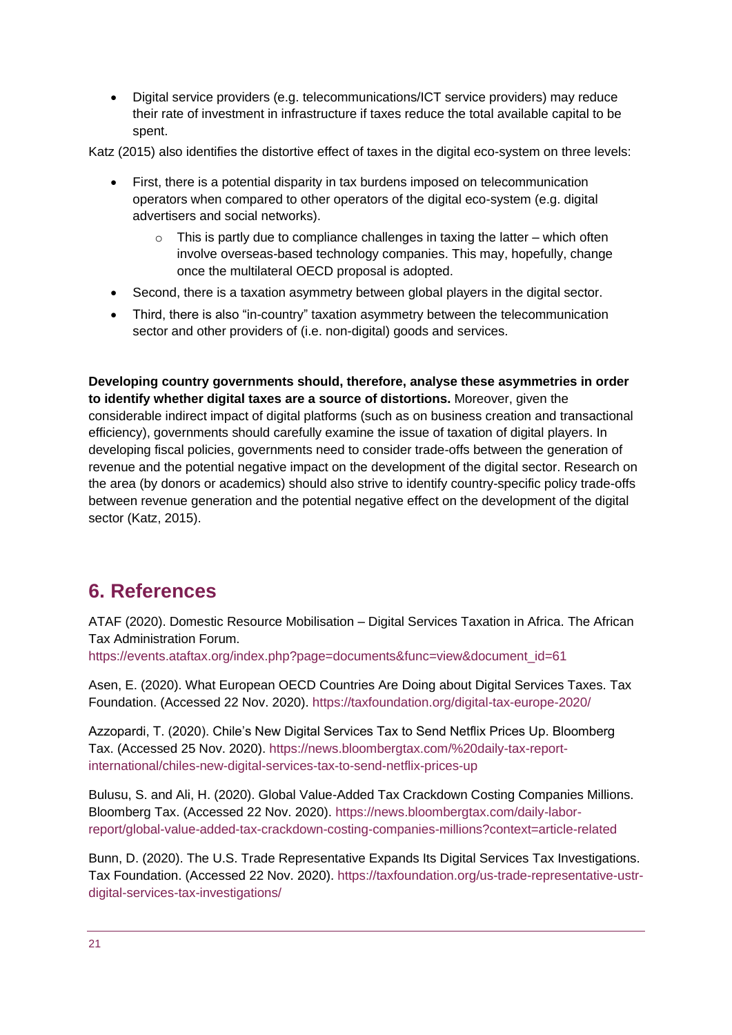• Digital service providers (e.g. telecommunications/ICT service providers) may reduce their rate of investment in infrastructure if taxes reduce the total available capital to be spent.

Katz (2015) also identifies the distortive effect of taxes in the digital eco-system on three levels:

- First, there is a potential disparity in tax burdens imposed on telecommunication operators when compared to other operators of the digital eco-system (e.g. digital advertisers and social networks).
	- $\circ$  This is partly due to compliance challenges in taxing the latter which often involve overseas-based technology companies. This may, hopefully, change once the multilateral OECD proposal is adopted.
- Second, there is a taxation asymmetry between global players in the digital sector.
- Third, there is also "in-country" taxation asymmetry between the telecommunication sector and other providers of (i.e. non-digital) goods and services.

**Developing country governments should, therefore, analyse these asymmetries in order to identify whether digital taxes are a source of distortions.** Moreover, given the considerable indirect impact of digital platforms (such as on business creation and transactional efficiency), governments should carefully examine the issue of taxation of digital players. In developing fiscal policies, governments need to consider trade-offs between the generation of revenue and the potential negative impact on the development of the digital sector. Research on the area (by donors or academics) should also strive to identify country-specific policy trade-offs between revenue generation and the potential negative effect on the development of the digital sector (Katz, 2015).

# <span id="page-20-0"></span>**6. References**

ATAF (2020). Domestic Resource Mobilisation – Digital Services Taxation in Africa. The African Tax Administration Forum.

[https://events.ataftax.org/index.php?page=documents&func=view&document\\_id=61](https://events.ataftax.org/index.php?page=documents&func=view&document_id=61)

Asen, E. (2020). What European OECD Countries Are Doing about Digital Services Taxes. Tax Foundation. (Accessed 22 Nov. 2020).<https://taxfoundation.org/digital-tax-europe-2020/>

Azzopardi, T. (2020). Chile's New Digital Services Tax to Send Netflix Prices Up. Bloomberg Tax. (Accessed 25 Nov. 2020). [https://news.bloombergtax.com/%20daily-tax-report](https://news.bloombergtax.com/%20daily-tax-report-international/chiles-new-digital-services-tax-to-send-netflix-prices-up)[international/chiles-new-digital-services-tax-to-send-netflix-prices-up](https://news.bloombergtax.com/%20daily-tax-report-international/chiles-new-digital-services-tax-to-send-netflix-prices-up)

Bulusu, S. and Ali, H. (2020). Global Value-Added Tax Crackdown Costing Companies Millions. Bloomberg Tax. (Accessed 22 Nov. 2020). [https://news.bloombergtax.com/daily-labor](https://news.bloombergtax.com/daily-labor-report/global-value-added-tax-crackdown-costing-companies-millions?context=article-related)[report/global-value-added-tax-crackdown-costing-companies-millions?context=article-related](https://news.bloombergtax.com/daily-labor-report/global-value-added-tax-crackdown-costing-companies-millions?context=article-related)

Bunn, D. (2020). The U.S. Trade Representative Expands Its Digital Services Tax Investigations. Tax Foundation. (Accessed 22 Nov. 2020). [https://taxfoundation.org/us-trade-representative-ustr](https://taxfoundation.org/us-trade-representative-ustr-digital-services-tax-investigations/)[digital-services-tax-investigations/](https://taxfoundation.org/us-trade-representative-ustr-digital-services-tax-investigations/)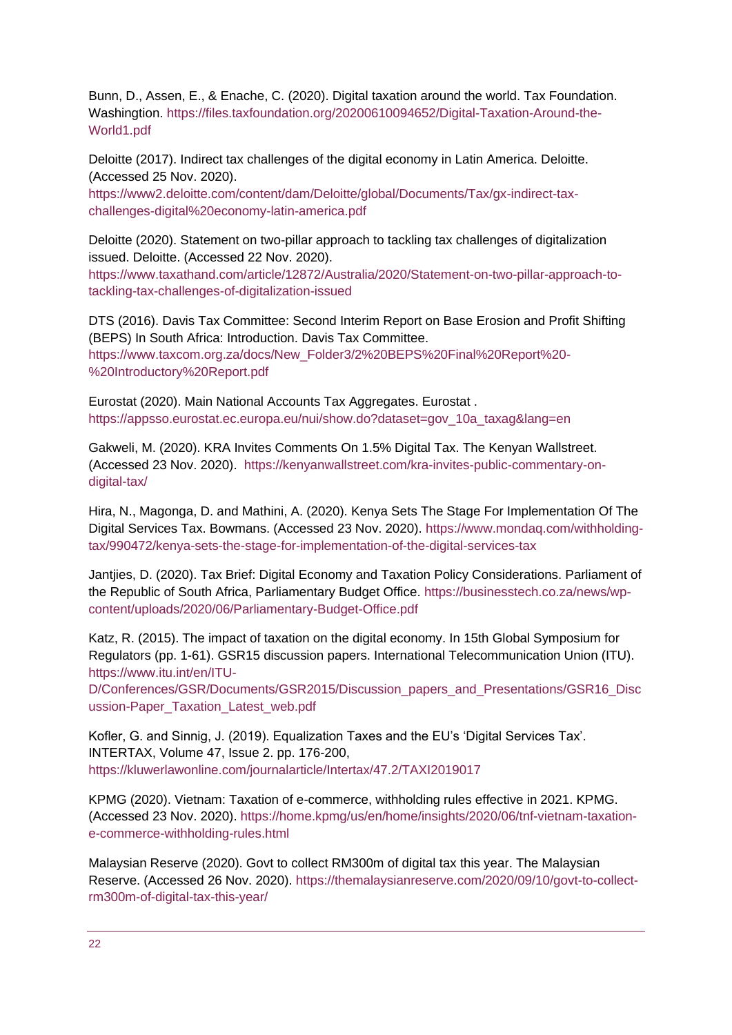Bunn, D., Assen, E., & Enache, C. (2020). Digital taxation around the world. Tax Foundation. Washingtion. [https://files.taxfoundation.org/20200610094652/Digital-Taxation-Around-the-](https://files.taxfoundation.org/20200610094652/Digital-Taxation-Around-the-World1.pdf)[World1.pdf](https://files.taxfoundation.org/20200610094652/Digital-Taxation-Around-the-World1.pdf)

Deloitte (2017). Indirect tax challenges of the digital economy in Latin America. Deloitte. (Accessed 25 Nov. 2020).

[https://www2.deloitte.com/content/dam/Deloitte/global/Documents/Tax/gx-indirect-tax](https://www2.deloitte.com/content/dam/Deloitte/global/Documents/Tax/gx-indirect-tax-challenges-digital%20economy-latin-america.pdf)[challenges-digital%20economy-latin-america.pdf](https://www2.deloitte.com/content/dam/Deloitte/global/Documents/Tax/gx-indirect-tax-challenges-digital%20economy-latin-america.pdf)

Deloitte (2020). Statement on two-pillar approach to tackling tax challenges of digitalization issued. Deloitte. (Accessed 22 Nov. 2020).

[https://www.taxathand.com/article/12872/Australia/2020/Statement-on-two-pillar-approach-to](https://www.taxathand.com/article/12872/Australia/2020/Statement-on-two-pillar-approach-to-tackling-tax-challenges-of-digitalization-issued)[tackling-tax-challenges-of-digitalization-issued](https://www.taxathand.com/article/12872/Australia/2020/Statement-on-two-pillar-approach-to-tackling-tax-challenges-of-digitalization-issued)

DTS (2016). Davis Tax Committee: Second Interim Report on Base Erosion and Profit Shifting (BEPS) In South Africa: Introduction. Davis Tax Committee. [https://www.taxcom.org.za/docs/New\\_Folder3/2%20BEPS%20Final%20Report%20-](https://www.taxcom.org.za/docs/New_Folder3/2%20BEPS%20Final%20Report%20-%20Introductory%20Report.pdf) [%20Introductory%20Report.pdf](https://www.taxcom.org.za/docs/New_Folder3/2%20BEPS%20Final%20Report%20-%20Introductory%20Report.pdf)

Eurostat (2020). Main National Accounts Tax Aggregates. Eurostat . [https://appsso.eurostat.ec.europa.eu/nui/show.do?dataset=gov\\_10a\\_taxag&lang=en](https://appsso.eurostat.ec.europa.eu/nui/show.do?dataset=gov_10a_taxag&lang=en)

Gakweli, M. (2020). KRA Invites Comments On 1.5% Digital Tax. The Kenyan Wallstreet. (Accessed 23 Nov. 2020). [https://kenyanwallstreet.com/kra-invites-public-commentary-on](https://kenyanwallstreet.com/kra-invites-public-commentary-on-digital-tax/)[digital-tax/](https://kenyanwallstreet.com/kra-invites-public-commentary-on-digital-tax/)

Hira, N., Magonga, D. and Mathini, A. (2020). Kenya Sets The Stage For Implementation Of The Digital Services Tax. Bowmans. (Accessed 23 Nov. 2020). [https://www.mondaq.com/withholding](https://www.mondaq.com/withholding-tax/990472/kenya-sets-the-stage-for-implementation-of-the-digital-services-tax)[tax/990472/kenya-sets-the-stage-for-implementation-of-the-digital-services-tax](https://www.mondaq.com/withholding-tax/990472/kenya-sets-the-stage-for-implementation-of-the-digital-services-tax)

Jantjies, D. (2020). Tax Brief: Digital Economy and Taxation Policy Considerations. Parliament of the Republic of South Africa, Parliamentary Budget Office. [https://businesstech.co.za/news/wp](https://businesstech.co.za/news/wp-content/uploads/2020/06/Parliamentary-Budget-Office.pdf)[content/uploads/2020/06/Parliamentary-Budget-Office.pdf](https://businesstech.co.za/news/wp-content/uploads/2020/06/Parliamentary-Budget-Office.pdf)

Katz, R. (2015). The impact of taxation on the digital economy. In 15th Global Symposium for Regulators (pp. 1-61). GSR15 discussion papers. International Telecommunication Union (ITU). [https://www.itu.int/en/ITU-](https://www.itu.int/en/ITU-D/Conferences/GSR/Documents/GSR2015/Discussion_papers_and_Presentations/GSR16_Discussion-Paper_Taxation_Latest_web.pdf)

[D/Conferences/GSR/Documents/GSR2015/Discussion\\_papers\\_and\\_Presentations/GSR16\\_Disc](https://www.itu.int/en/ITU-D/Conferences/GSR/Documents/GSR2015/Discussion_papers_and_Presentations/GSR16_Discussion-Paper_Taxation_Latest_web.pdf) [ussion-Paper\\_Taxation\\_Latest\\_web.pdf](https://www.itu.int/en/ITU-D/Conferences/GSR/Documents/GSR2015/Discussion_papers_and_Presentations/GSR16_Discussion-Paper_Taxation_Latest_web.pdf)

Kofler, G. and Sinnig, J. (2019). Equalization Taxes and the EU's 'Digital Services Tax'. INTERTAX, Volume 47, Issue 2. pp. 176-200, <https://kluwerlawonline.com/journalarticle/Intertax/47.2/TAXI2019017>

KPMG (2020). Vietnam: Taxation of e-commerce, withholding rules effective in 2021. KPMG. (Accessed 23 Nov. 2020). [https://home.kpmg/us/en/home/insights/2020/06/tnf-vietnam-taxation](https://home.kpmg/us/en/home/insights/2020/06/tnf-vietnam-taxation-e-commerce-withholding-rules.html)[e-commerce-withholding-rules.html](https://home.kpmg/us/en/home/insights/2020/06/tnf-vietnam-taxation-e-commerce-withholding-rules.html)

Malaysian Reserve (2020). Govt to collect RM300m of digital tax this year. The Malaysian Reserve. (Accessed 26 Nov. 2020). [https://themalaysianreserve.com/2020/09/10/govt-to-collect](https://themalaysianreserve.com/2020/09/10/govt-to-collect-rm300m-of-digital-tax-this-year/)[rm300m-of-digital-tax-this-year/](https://themalaysianreserve.com/2020/09/10/govt-to-collect-rm300m-of-digital-tax-this-year/)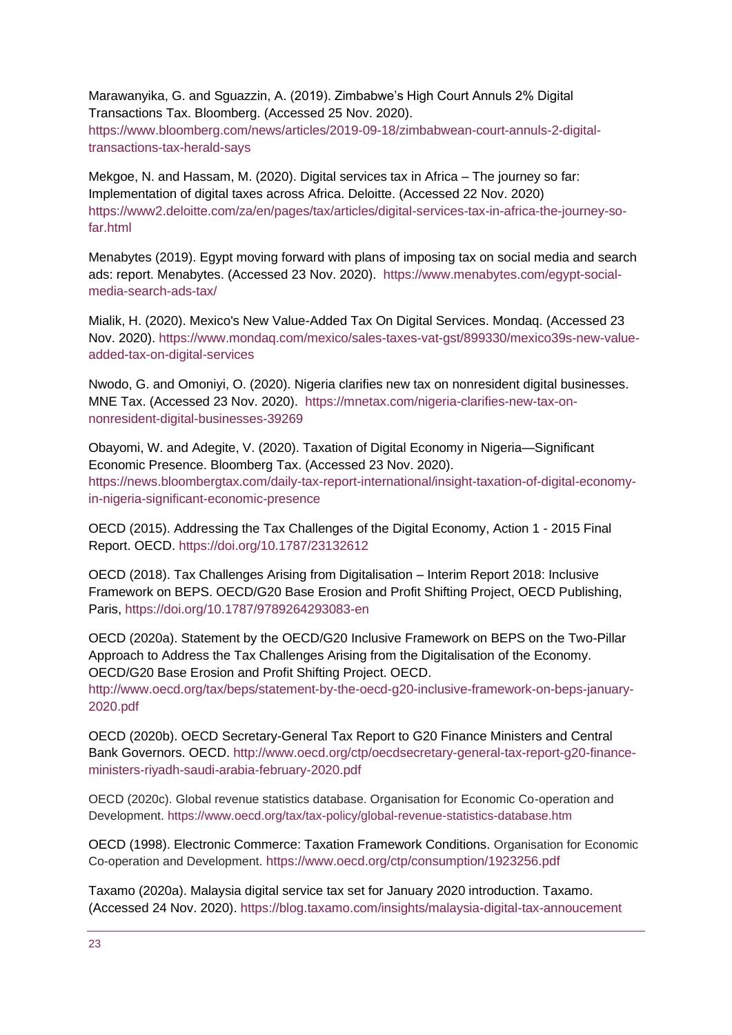Marawanyika, G. and Sguazzin, A. (2019). Zimbabwe's High Court Annuls 2% Digital Transactions Tax. Bloomberg. (Accessed 25 Nov. 2020). [https://www.bloomberg.com/news/articles/2019-09-18/zimbabwean-court-annuls-2-digital](https://www.bloomberg.com/news/articles/2019-09-18/zimbabwean-court-annuls-2-digital-transactions-tax-herald-says)[transactions-tax-herald-says](https://www.bloomberg.com/news/articles/2019-09-18/zimbabwean-court-annuls-2-digital-transactions-tax-herald-says)

Mekgoe, N. and Hassam, M. (2020). Digital services tax in Africa – The journey so far: Implementation of digital taxes across Africa. Deloitte. (Accessed 22 Nov. 2020) [https://www2.deloitte.com/za/en/pages/tax/articles/digital-services-tax-in-africa-the-journey-so](https://www2.deloitte.com/za/en/pages/tax/articles/digital-services-tax-in-africa-the-journey-so-far.html)[far.html](https://www2.deloitte.com/za/en/pages/tax/articles/digital-services-tax-in-africa-the-journey-so-far.html)

Menabytes (2019). Egypt moving forward with plans of imposing tax on social media and search ads: report. Menabytes. (Accessed 23 Nov. 2020). [https://www.menabytes.com/egypt-social](https://www.menabytes.com/egypt-social-media-search-ads-tax/)[media-search-ads-tax/](https://www.menabytes.com/egypt-social-media-search-ads-tax/)

Mialik, H. (2020). Mexico's New Value-Added Tax On Digital Services. Mondaq. (Accessed 23 Nov. 2020). [https://www.mondaq.com/mexico/sales-taxes-vat-gst/899330/mexico39s-new-value](https://www.mondaq.com/mexico/sales-taxes-vat-gst/899330/mexico39s-new-value-added-tax-on-digital-services)[added-tax-on-digital-services](https://www.mondaq.com/mexico/sales-taxes-vat-gst/899330/mexico39s-new-value-added-tax-on-digital-services)

Nwodo, G. and Omoniyi, O. (2020). Nigeria clarifies new tax on nonresident digital businesses. MNE Tax. (Accessed 23 Nov. 2020). [https://mnetax.com/nigeria-clarifies-new-tax-on](https://mnetax.com/nigeria-clarifies-new-tax-on-nonresident-digital-businesses-39269)[nonresident-digital-businesses-39269](https://mnetax.com/nigeria-clarifies-new-tax-on-nonresident-digital-businesses-39269)

Obayomi, W. and Adegite, V. (2020). Taxation of Digital Economy in Nigeria—Significant Economic Presence. Bloomberg Tax. (Accessed 23 Nov. 2020). [https://news.bloombergtax.com/daily-tax-report-international/insight-taxation-of-digital-economy](https://news.bloombergtax.com/daily-tax-report-international/insight-taxation-of-digital-economy-in-nigeria-significant-economic-presence)[in-nigeria-significant-economic-presence](https://news.bloombergtax.com/daily-tax-report-international/insight-taxation-of-digital-economy-in-nigeria-significant-economic-presence)

OECD (2015). Addressing the Tax Challenges of the Digital Economy, Action 1 - 2015 Final Report. OECD.<https://doi.org/10.1787/23132612>

OECD (2018). Tax Challenges Arising from Digitalisation – Interim Report 2018: Inclusive Framework on BEPS. OECD/G20 Base Erosion and Profit Shifting Project, OECD Publishing, Paris,<https://doi.org/10.1787/9789264293083-en>

OECD (2020a). Statement by the OECD/G20 Inclusive Framework on BEPS on the Two-Pillar Approach to Address the Tax Challenges Arising from the Digitalisation of the Economy. OECD/G20 Base Erosion and Profit Shifting Project. OECD.

[http://www.oecd.org/tax/beps/statement-by-the-oecd-g20-inclusive-framework-on-beps-january-](http://www.oecd.org/tax/beps/statement-by-the-oecd-g20-inclusive-framework-on-beps-january-2020.pdf)[2020.pdf](http://www.oecd.org/tax/beps/statement-by-the-oecd-g20-inclusive-framework-on-beps-january-2020.pdf)

OECD (2020b). OECD Secretary-General Tax Report to G20 Finance Ministers and Central Bank Governors. OECD. [http://www.oecd.org/ctp/oecdsecretary-general-tax-report-g20-finance](http://www.oecd.org/ctp/oecdsecretary-general-tax-report-g20-finance-ministers-riyadh-saudi-arabia-february-2020.pdf)[ministers-riyadh-saudi-arabia-february-2020.pdf](http://www.oecd.org/ctp/oecdsecretary-general-tax-report-g20-finance-ministers-riyadh-saudi-arabia-february-2020.pdf)

OECD (2020c). Global revenue statistics database. Organisation for Economic Co-operation and Development.<https://www.oecd.org/tax/tax-policy/global-revenue-statistics-database.htm>

OECD (1998). Electronic Commerce: Taxation Framework Conditions. Organisation for Economic Co-operation and Development. <https://www.oecd.org/ctp/consumption/1923256.pdf>

Taxamo (2020a). Malaysia digital service tax set for January 2020 introduction. Taxamo. (Accessed 24 Nov. 2020).<https://blog.taxamo.com/insights/malaysia-digital-tax-annoucement>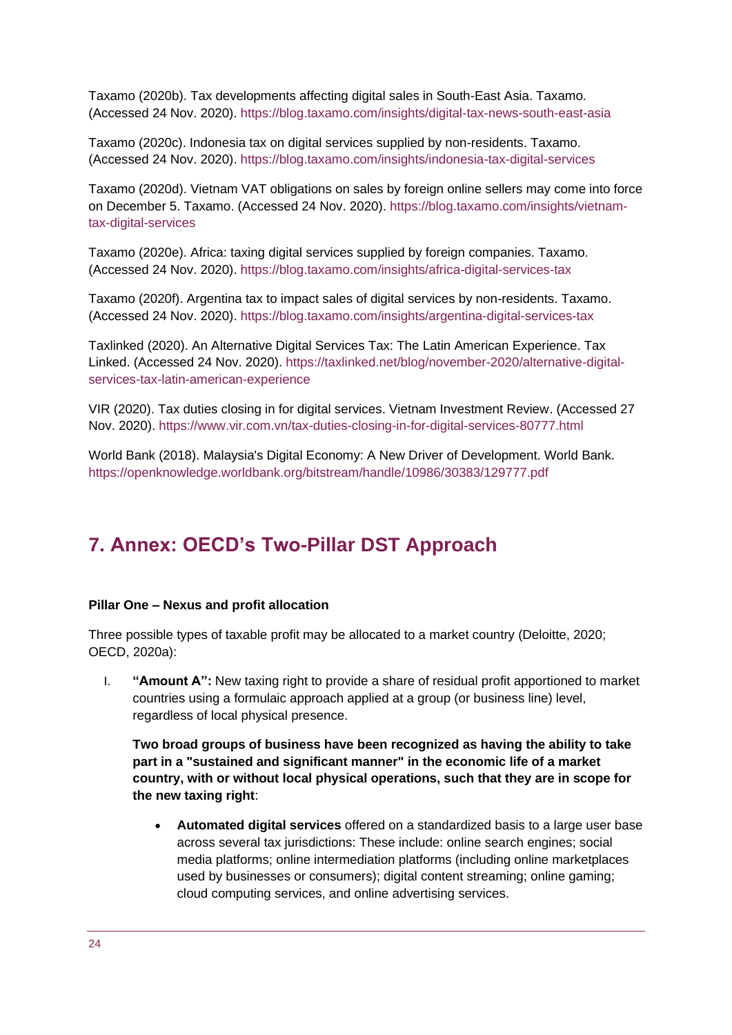Taxamo (2020b). Tax developments affecting digital sales in South-East Asia. Taxamo. (Accessed 24 Nov. 2020).<https://blog.taxamo.com/insights/digital-tax-news-south-east-asia>

Taxamo (2020c). Indonesia tax on digital services supplied by non-residents. Taxamo. (Accessed 24 Nov. 2020).<https://blog.taxamo.com/insights/indonesia-tax-digital-services>

Taxamo (2020d). Vietnam VAT obligations on sales by foreign online sellers may come into force on December 5. Taxamo. (Accessed 24 Nov. 2020). [https://blog.taxamo.com/insights/vietnam](https://blog.taxamo.com/insights/vietnam-tax-digital-services)[tax-digital-services](https://blog.taxamo.com/insights/vietnam-tax-digital-services)

Taxamo (2020e). Africa: taxing digital services supplied by foreign companies. Taxamo. (Accessed 24 Nov. 2020).<https://blog.taxamo.com/insights/africa-digital-services-tax>

Taxamo (2020f). Argentina tax to impact sales of digital services by non-residents. Taxamo. (Accessed 24 Nov. 2020).<https://blog.taxamo.com/insights/argentina-digital-services-tax>

Taxlinked (2020). An Alternative Digital Services Tax: The Latin American Experience. Tax Linked. (Accessed 24 Nov. 2020). [https://taxlinked.net/blog/november-2020/alternative-digital](https://taxlinked.net/blog/november-2020/alternative-digital-services-tax-latin-american-experience)[services-tax-latin-american-experience](https://taxlinked.net/blog/november-2020/alternative-digital-services-tax-latin-american-experience)

VIR (2020). Tax duties closing in for digital services. Vietnam Investment Review. (Accessed 27 Nov. 2020).<https://www.vir.com.vn/tax-duties-closing-in-for-digital-services-80777.html>

World Bank (2018). Malaysia's Digital Economy: A New Driver of Development. World Bank. <https://openknowledge.worldbank.org/bitstream/handle/10986/30383/129777.pdf>

# <span id="page-23-0"></span>**7. Annex: OECD's Two-Pillar DST Approach**

#### **Pillar One – Nexus and profit allocation**

Three possible types of taxable profit may be allocated to a market country (Deloitte, 2020; OECD, 2020a):

I. **"Amount A":** New taxing right to provide a share of residual profit apportioned to market countries using a formulaic approach applied at a group (or business line) level, regardless of local physical presence.

**Two broad groups of business have been recognized as having the ability to take part in a "sustained and significant manner" in the economic life of a market country, with or without local physical operations, such that they are in scope for the new taxing right**:

• **Automated digital services** offered on a standardized basis to a large user base across several tax jurisdictions: These include: online search engines; social media platforms; online intermediation platforms (including online marketplaces used by businesses or consumers); digital content streaming; online gaming; cloud computing services, and online advertising services.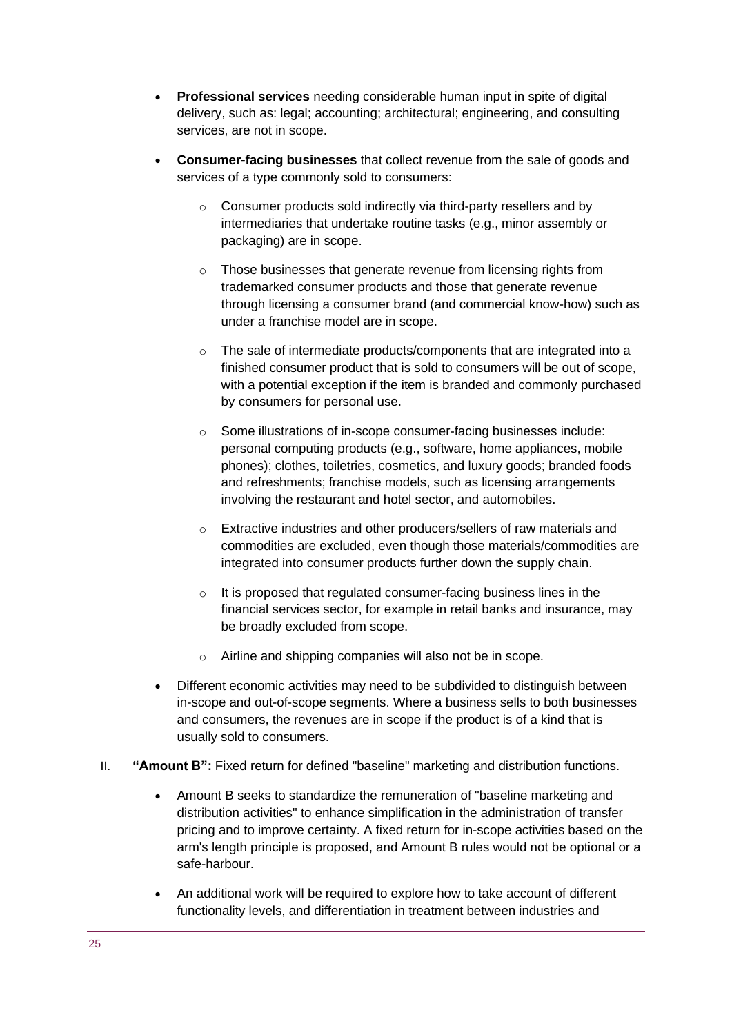- **Professional services** needing considerable human input in spite of digital delivery, such as: legal; accounting; architectural; engineering, and consulting services, are not in scope.
- **Consumer-facing businesses** that collect revenue from the sale of goods and services of a type commonly sold to consumers:
	- o Consumer products sold indirectly via third-party resellers and by intermediaries that undertake routine tasks (e.g., minor assembly or packaging) are in scope.
	- o Those businesses that generate revenue from licensing rights from trademarked consumer products and those that generate revenue through licensing a consumer brand (and commercial know-how) such as under a franchise model are in scope.
	- o The sale of intermediate products/components that are integrated into a finished consumer product that is sold to consumers will be out of scope, with a potential exception if the item is branded and commonly purchased by consumers for personal use.
	- o Some illustrations of in-scope consumer-facing businesses include: personal computing products (e.g., software, home appliances, mobile phones); clothes, toiletries, cosmetics, and luxury goods; branded foods and refreshments; franchise models, such as licensing arrangements involving the restaurant and hotel sector, and automobiles.
	- o Extractive industries and other producers/sellers of raw materials and commodities are excluded, even though those materials/commodities are integrated into consumer products further down the supply chain.
	- $\circ$  It is proposed that regulated consumer-facing business lines in the financial services sector, for example in retail banks and insurance, may be broadly excluded from scope.
	- o Airline and shipping companies will also not be in scope.
- Different economic activities may need to be subdivided to distinguish between in-scope and out-of-scope segments. Where a business sells to both businesses and consumers, the revenues are in scope if the product is of a kind that is usually sold to consumers.
- II. **"Amount B":** Fixed return for defined "baseline" marketing and distribution functions.
	- Amount B seeks to standardize the remuneration of "baseline marketing and distribution activities" to enhance simplification in the administration of transfer pricing and to improve certainty. A fixed return for in-scope activities based on the arm's length principle is proposed, and Amount B rules would not be optional or a safe-harbour.
	- An additional work will be required to explore how to take account of different functionality levels, and differentiation in treatment between industries and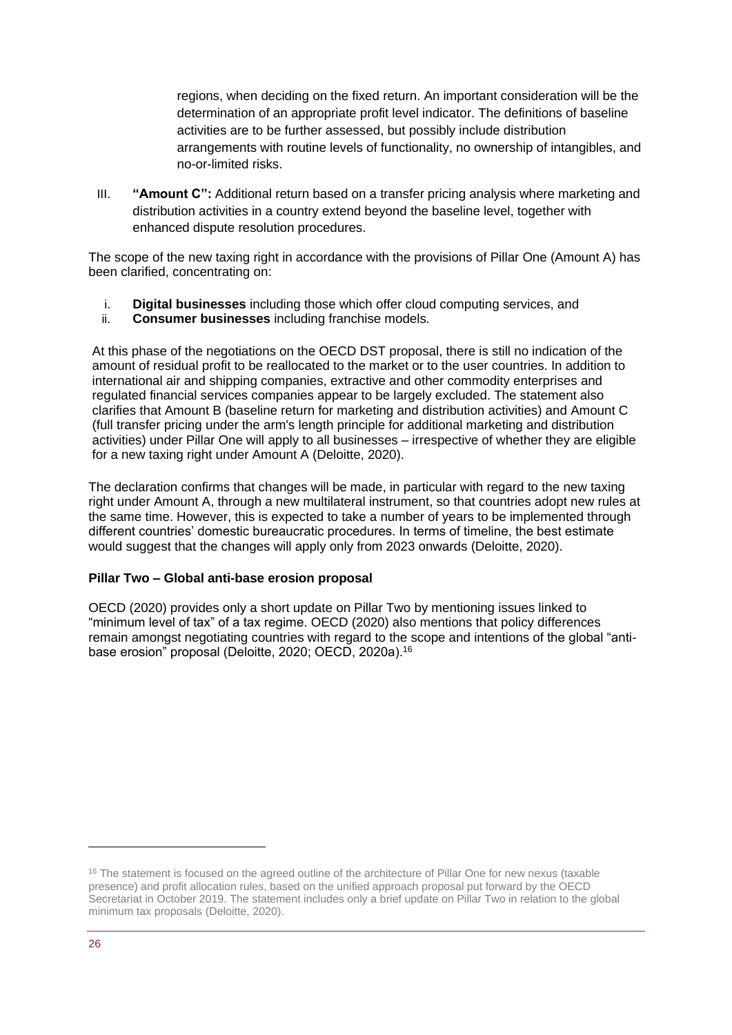regions, when deciding on the fixed return. An important consideration will be the determination of an appropriate profit level indicator. The definitions of baseline activities are to be further assessed, but possibly include distribution arrangements with routine levels of functionality, no ownership of intangibles, and no-or-limited risks.

III. **"Amount C":** Additional return based on a transfer pricing analysis where marketing and distribution activities in a country extend beyond the baseline level, together with enhanced dispute resolution procedures.

The scope of the new taxing right in accordance with the provisions of Pillar One (Amount A) has been clarified, concentrating on:

- i. **Digital businesses** including those which offer cloud computing services, and
- ii. **Consumer businesses** including franchise models.

At this phase of the negotiations on the OECD DST proposal, there is still no indication of the amount of residual profit to be reallocated to the market or to the user countries. In addition to international air and shipping companies, extractive and other commodity enterprises and regulated financial services companies appear to be largely excluded. The statement also clarifies that Amount B (baseline return for marketing and distribution activities) and Amount C (full transfer pricing under the arm's length principle for additional marketing and distribution activities) under Pillar One will apply to all businesses – irrespective of whether they are eligible for a new taxing right under Amount A (Deloitte, 2020).

The declaration confirms that changes will be made, in particular with regard to the new taxing right under Amount A, through a new multilateral instrument, so that countries adopt new rules at the same time. However, this is expected to take a number of years to be implemented through different countries' domestic bureaucratic procedures. In terms of timeline, the best estimate would suggest that the changes will apply only from 2023 onwards (Deloitte, 2020).

#### **Pillar Two – Global anti-base erosion proposal**

OECD (2020) provides only a short update on Pillar Two by mentioning issues linked to "minimum level of tax" of a tax regime. OECD (2020) also mentions that policy differences remain amongst negotiating countries with regard to the scope and intentions of the global "antibase erosion" proposal (Deloitte, 2020; OECD, 2020a).<sup>16</sup>

<sup>&</sup>lt;sup>16</sup> The statement is focused on the agreed outline of the architecture of Pillar One for new nexus (taxable presence) and profit allocation rules, based on the unified approach proposal put forward by the OECD Secretariat in October 2019. The statement includes only a brief update on Pillar Two in relation to the global minimum tax proposals (Deloitte, 2020).